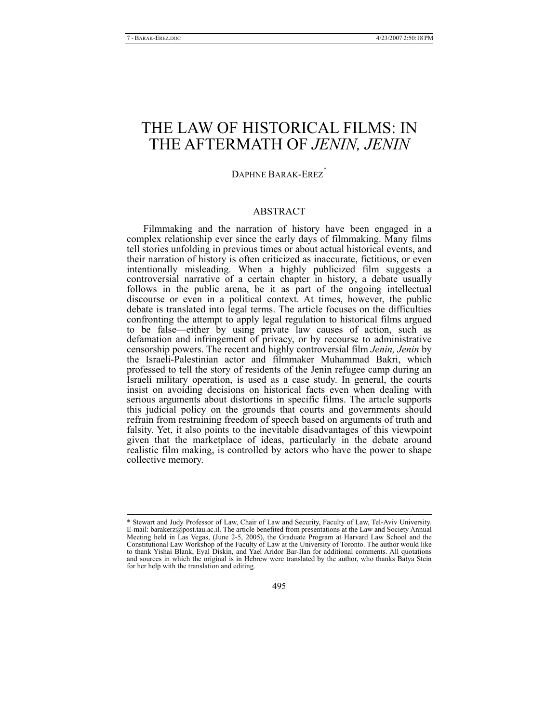# THE LAW OF HISTORICAL FILMS: IN THE AFTERMATH OF *JENIN, JENIN*

## DAPHNE BARAK-EREZ<sup>\*</sup>

## ABSTRACT

Filmmaking and the narration of history have been engaged in a complex relationship ever since the early days of filmmaking. Many films tell stories unfolding in previous times or about actual historical events, and their narration of history is often criticized as inaccurate, fictitious, or even intentionally misleading. When a highly publicized film suggests a controversial narrative of a certain chapter in history, a debate usually follows in the public arena, be it as part of the ongoing intellectual discourse or even in a political context. At times, however, the public debate is translated into legal terms. The article focuses on the difficulties confronting the attempt to apply legal regulation to historical films argued to be false—either by using private law causes of action, such as defamation and infringement of privacy, or by recourse to administrative censorship powers. The recent and highly controversial film *Jenin, Jenin* by the Israeli-Palestinian actor and filmmaker Muhammad Bakri, which professed to tell the story of residents of the Jenin refugee camp during an Israeli military operation, is used as a case study. In general, the courts insist on avoiding decisions on historical facts even when dealing with serious arguments about distortions in specific films. The article supports this judicial policy on the grounds that courts and governments should refrain from restraining freedom of speech based on arguments of truth and falsity. Yet, it also points to the inevitable disadvantages of this viewpoint given that the marketplace of ideas, particularly in the debate around realistic film making, is controlled by actors who have the power to shape collective memory.

 <sup>\*</sup> Stewart and Judy Professor of Law, Chair of Law and Security, Faculty of Law, Tel-Aviv University. E-mail: barakerz@post.tau.ac.il. The article benefited from presentations at the Law and Society Annual Meeting held in Las Vegas, (June 2-5, 2005), the Graduate Program at Harvard Law School and the Constitutional Law Workshop of the Faculty of Law at the University of Toronto. The author would like to thank Yishai Blank, Eyal Diskin, and Yael Aridor Bar-Ilan for additional comments. All quotations and sources in which the original is in Hebrew were translated by the author, who thanks Batya Stein for her help with the translation and editing.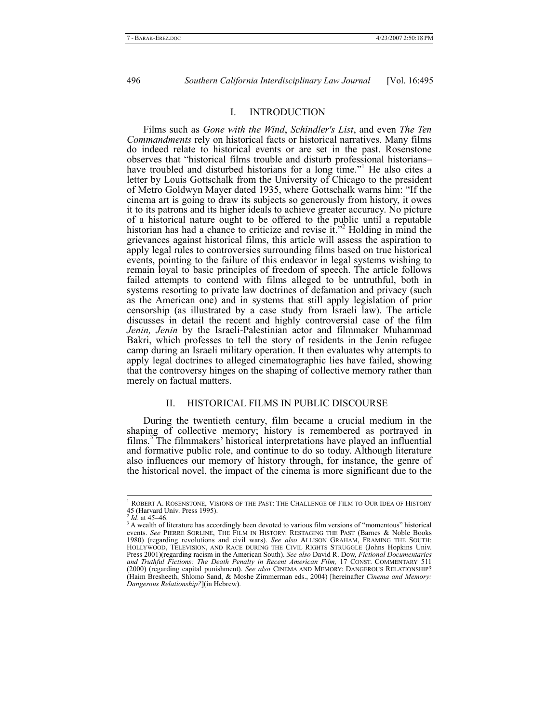#### I. INTRODUCTION

Films such as *Gone with the Wind*, *Schindler's List*, and even *The Ten Commandments* rely on historical facts or historical narratives. Many films do indeed relate to historical events or are set in the past. Rosenstone observes that "historical films trouble and disturb professional historians– have troubled and disturbed historians for a long time."<sup>1</sup> He also cites a letter by Louis Gottschalk from the University of Chicago to the president of Metro Goldwyn Mayer dated 1935, where Gottschalk warns him: "If the cinema art is going to draw its subjects so generously from history, it owes it to its patrons and its higher ideals to achieve greater accuracy. No picture of a historical nature ought to be offered to the public until a reputable historian has had a chance to criticize and revise it."<sup>2</sup> Holding in mind the grievances against historical films, this article will assess the aspiration to apply legal rules to controversies surrounding films based on true historical events, pointing to the failure of this endeavor in legal systems wishing to remain loyal to basic principles of freedom of speech. The article follows failed attempts to contend with films alleged to be untruthful, both in systems resorting to private law doctrines of defamation and privacy (such as the American one) and in systems that still apply legislation of prior censorship (as illustrated by a case study from Israeli law). The article discusses in detail the recent and highly controversial case of the film *Jenin, Jenin* by the Israeli-Palestinian actor and filmmaker Muhammad Bakri, which professes to tell the story of residents in the Jenin refugee camp during an Israeli military operation. It then evaluates why attempts to apply legal doctrines to alleged cinematographic lies have failed, showing that the controversy hinges on the shaping of collective memory rather than merely on factual matters.

## II. HISTORICAL FILMS IN PUBLIC DISCOURSE

During the twentieth century, film became a crucial medium in the shaping of collective memory; history is remembered as portrayed in films.<sup>3</sup> The filmmakers' historical interpretations have played an influential and formative public role, and continue to do so today. Although literature also influences our memory of history through, for instance, the genre of the historical novel, the impact of the cinema is more significant due to the

 $\frac{1}{1}$  $^{\rm l}$  ROBERT A. ROSENSTONE, VISIONS OF THE PAST: THE CHALLENGE OF FILM TO OUR IDEA OF HISTORY 45 (Harvard Univ. Press 1995).

*Id.* at 45–46.

A wealth of literature has accordingly been devoted to various film versions of "momentous" historical events. *See* PIERRE SORLINE, THE FILM IN HISTORY: RESTAGING THE PAST (Barnes & Noble Books 1980) (regarding revolutions and civil wars). *See also* ALLISON GRAHAM, FRAMING THE SOUTH: HOLLYWOOD, TELEVISION, AND RACE DURING THE CIVIL RIGHTS STRUGGLE (Johns Hopkins Univ. Press 2001)(regarding racism in the American South). *See also* David R. Dow, *Fictional Documentaries and Truthful Fictions: The Death Penalty in Recent American Film,* 17 CONST. COMMENTARY 511 (2000) (regarding capital punishment). *See also* CINEMA AND MEMORY: DANGEROUS RELATIONSHIP? (Haim Bresheeth, Shlomo Sand, & Moshe Zimmerman eds., 2004) [hereinafter *Cinema and Memory: Dangerous Relationship?*](in Hebrew).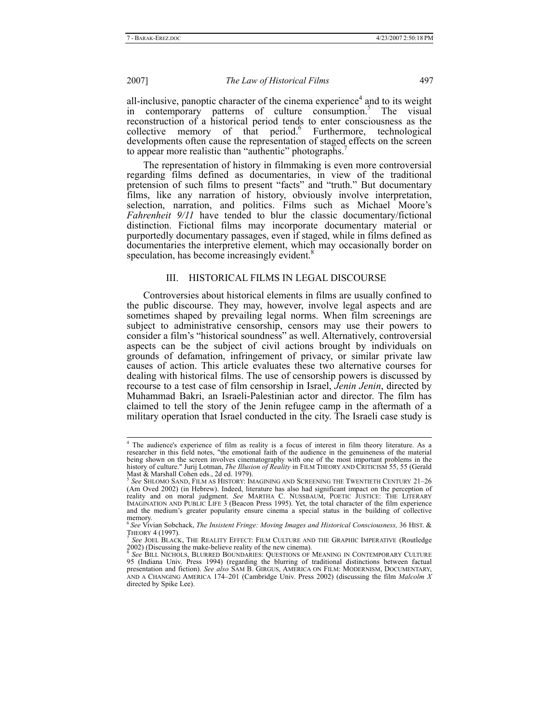all-inclusive, panoptic character of the cinema experience<sup>4</sup> and to its weight in contemporary patterns of culture consumption.<sup>5</sup> The visual reconstruction of a historical period tends to enter consciousness as the collective memory of that period.<sup>6</sup> Furthermore, technological developments often cause the representation of staged effects on the screen to appear more realistic than "authentic" photographs.<sup>7</sup>

The representation of history in filmmaking is even more controversial regarding films defined as documentaries, in view of the traditional pretension of such films to present "facts" and "truth." But documentary films, like any narration of history, obviously involve interpretation, selection, narration, and politics. Films such as Michael Moore's *Fahrenheit 9/11* have tended to blur the classic documentary/fictional distinction. Fictional films may incorporate documentary material or purportedly documentary passages, even if staged, while in films defined as documentaries the interpretive element, which may occasionally border on speculation, has become increasingly evident.<sup>8</sup>

#### III. HISTORICAL FILMS IN LEGAL DISCOURSE

Controversies about historical elements in films are usually confined to the public discourse. They may, however, involve legal aspects and are sometimes shaped by prevailing legal norms. When film screenings are subject to administrative censorship, censors may use their powers to consider a film's "historical soundness" as well. Alternatively, controversial aspects can be the subject of civil actions brought by individuals on grounds of defamation, infringement of privacy, or similar private law causes of action. This article evaluates these two alternative courses for dealing with historical films. The use of censorship powers is discussed by recourse to a test case of film censorship in Israel, *Jenin Jenin*, directed by Muhammad Bakri, an Israeli-Palestinian actor and director. The film has claimed to tell the story of the Jenin refugee camp in the aftermath of a military operation that Israel conducted in the city. The Israeli case study is

 <sup>4</sup> <sup>4</sup> The audience's experience of film as reality is a focus of interest in film theory literature. As a researcher in this field notes, "the emotional faith of the audience in the genuineness of the material being shown on the screen involves cinematography with one of the most important problems in the history of culture." Jurij Lotman, *The Illusion of Reality* in FILM THEORY AND CRITICISM 55, 55 (Gerald Mast & Marshall Cohen eds., 2d ed. 1979).

<sup>5</sup> *See* SHLOMO SAND, FILM AS HISTORY: IMAGINING AND SCREENING THE TWENTIETH CENTURY 21–26 (Am Oved 2002) (in Hebrew). Indeed, literature has also had significant impact on the perception of reality and on moral judgment. *See* MARTHA C. NUSSBAUM, POETIC JUSTICE: THE LITERARY IMAGINATION AND PUBLIC LIFE 3 (Beacon Press 1995). Yet, the total character of the film experience and the medium's greater popularity ensure cinema a special status in the building of collective memory.

<sup>6</sup>*See* Vivian Sobchack, *The Insistent Fringe: Moving Images and Historical Consciousness,* 36 HIST. &

See JOEL BLACK, THE REALITY EFFECT: FILM CULTURE AND THE GRAPHIC IMPERATIVE (Routledge  $2002$ ) (Discussing the make-believe reality of the new cinema).

<sup>8</sup> *See* BILL NICHOLS, BLURRED BOUNDARIES: QUESTIONS OF MEANING IN CONTEMPORARY CULTURE 95 (Indiana Univ. Press 1994) (regarding the blurring of traditional distinctions between factual presentation and fiction). *See also* SAM B. GIRGUS, AMERICA ON FILM: MODERNISM, DOCUMENTARY, AND A CHANGING AMERICA 174–201 (Cambridge Univ. Press 2002) (discussing the film *Malcolm X* directed by Spike Lee).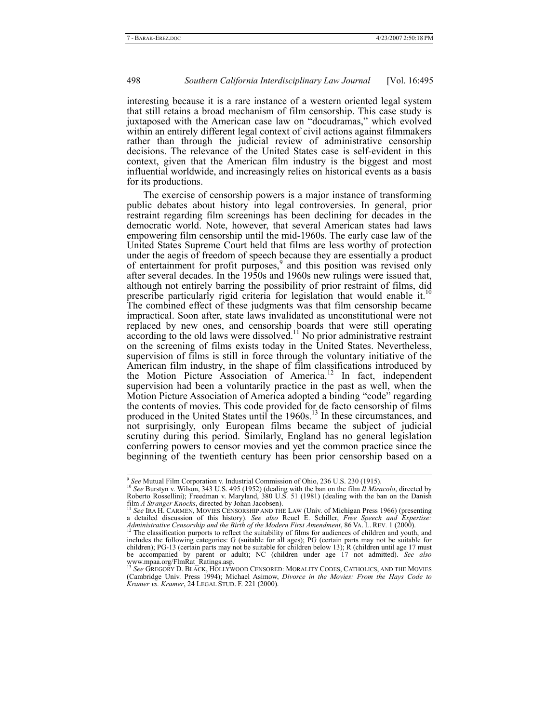interesting because it is a rare instance of a western oriented legal system that still retains a broad mechanism of film censorship. This case study is juxtaposed with the American case law on "docudramas," which evolved within an entirely different legal context of civil actions against filmmakers rather than through the judicial review of administrative censorship decisions. The relevance of the United States case is self-evident in this context, given that the American film industry is the biggest and most influential worldwide, and increasingly relies on historical events as a basis for its productions.

The exercise of censorship powers is a major instance of transforming public debates about history into legal controversies. In general, prior restraint regarding film screenings has been declining for decades in the democratic world. Note, however, that several American states had laws empowering film censorship until the mid-1960s. The early case law of the United States Supreme Court held that films are less worthy of protection under the aegis of freedom of speech because they are essentially a product of entertainment for profit purposes,<sup>9</sup> and this position was revised only after several decades. In the 1950s and 1960s new rulings were issued that, although not entirely barring the possibility of prior restraint of films, did prescribe particularly rigid criteria for legislation that would enable it.<sup>10</sup> The combined effect of these judgments was that film censorship became impractical. Soon after, state laws invalidated as unconstitutional were not replaced by new ones, and censorship boards that were still operating according to the old laws were dissolved.<sup>11</sup> No prior administrative restraint on the screening of films exists today in the United States. Nevertheless, supervision of films is still in force through the voluntary initiative of the American film industry, in the shape of film classifications introduced by the Motion Picture Association of America.<sup>12</sup> In fact, independent supervision had been a voluntarily practice in the past as well, when the Motion Picture Association of America adopted a binding "code" regarding the contents of movies. This code provided for de facto censorship of films produced in the United States until the 1960s.<sup>13</sup> In these circumstances, and not surprisingly, only European films became the subject of judicial scrutiny during this period. Similarly, England has no general legislation conferring powers to censor movies and yet the common practice since the beginning of the twentieth century has been prior censorship based on a

<sup>&</sup>lt;sup>9</sup> See Mutual Film Corporation v. Industrial Commission of Ohio, 236 U.S. 230 (1915).<br><sup>10</sup> See Burstyn v. Wilson, 343 U.S. 495 (1952) (dealing with the ban on the film *II Miracolo*, directed by Roberto Rossellini); Freed

film A Stranger Knocks, directed by Johan Jacobsen).<br><sup>11</sup> See IRA H. CARMEN, MOVIES CENSORSHIP AND THE LAW (Univ. of Michigan Press 1966) (presenting<br>a detailed discussion of this history). See also Reuel E. Schiller, Free *Administrative Censorship and the Birth of the Modern First Amendment*, 86 VA. L. REV. 1 (2000).<br><sup>12</sup> The classification purports to reflect the suitability of films for audiences of children and youth, and <sup>12</sup>

includes the following categories: G (suitable for all ages); PG (certain parts may not be suitable for children); PG-13 (certain parts may not be suitable for children below 13); R (children until age 17 must be accompanied by parent or adult); NC (children under age 17 not admitted). *See also* www.mpaa.org/FlmRat\_Ratings.asp.<br><sup>13</sup> *See* GREGORY D. BLACK, HOLLYWOOD CENSORED: MORALITY CODES, CATHOLICS, AND THE MOVIES

<sup>(</sup>Cambridge Univ. Press 1994); Michael Asimow, *Divorce in the Movies: From the Hays Code to Kramer vs. Kramer*, 24 LEGAL STUD. F. 221 (2000).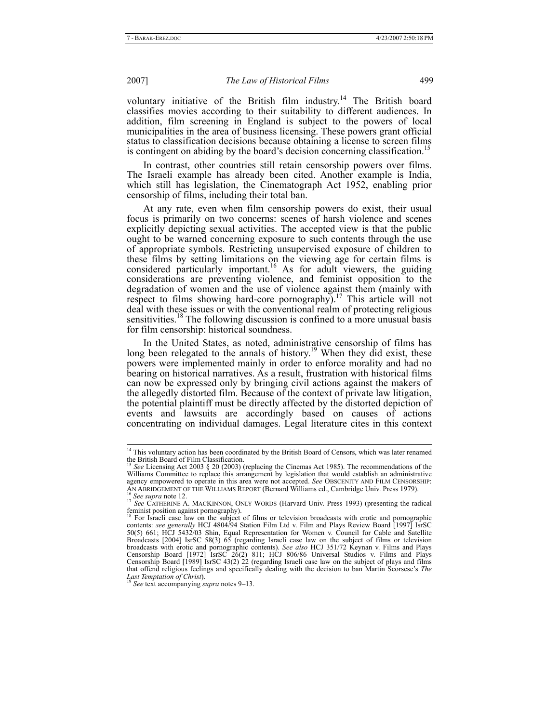voluntary initiative of the British film industry.<sup>14</sup> The British board classifies movies according to their suitability to different audiences. In addition, film screening in England is subject to the powers of local municipalities in the area of business licensing. These powers grant official status to classification decisions because obtaining a license to screen films is contingent on abiding by the board's decision concerning classification.<sup>1</sup>

In contrast, other countries still retain censorship powers over films. The Israeli example has already been cited. Another example is India, which still has legislation, the Cinematograph Act 1952, enabling prior censorship of films, including their total ban.

At any rate, even when film censorship powers do exist, their usual focus is primarily on two concerns: scenes of harsh violence and scenes explicitly depicting sexual activities. The accepted view is that the public ought to be warned concerning exposure to such contents through the use of appropriate symbols. Restricting unsupervised exposure of children to these films by setting limitations on the viewing age for certain films is considered particularly important.<sup>16</sup> As for adult viewers, the guiding considerations are preventing violence, and feminist opposition to the degradation of women and the use of violence against them (mainly with respect to films showing hard-core pornography).<sup>17</sup> This article will not deal with these issues or with the conventional realm of protecting religious sensitivities.<sup>18</sup> The following discussion is confined to a more unusual basis for film censorship: historical soundness.

In the United States, as noted, administrative censorship of films has long been relegated to the annals of history.<sup>19</sup> When they did exist, these powers were implemented mainly in order to enforce morality and had no bearing on historical narratives. As a result, frustration with historical films can now be expressed only by bringing civil actions against the makers of the allegedly distorted film. Because of the context of private law litigation, the potential plaintiff must be directly affected by the distorted depiction of events and lawsuits are accordingly based on causes of actions concentrating on individual damages. Legal literature cites in this context

<sup>&</sup>lt;sup>14</sup> This voluntary action has been coordinated by the British Board of Censors, which was later renamed the British Board of Film Classification.

See Licensing Act 2003 § 20 (2003) (replacing the Cinemas Act 1985). The recommendations of the Williams Committee to replace this arrangement by legislation that would establish an administrative agency empowered to operate in this area were not accepted. *See* OBSCENITY AND FILM CENSORSHIP: AN ABRIDGEMENT OF THE WILLIAMS REPORT (Bernard Williams ed., Cambridge Univ. Press 1979).<br><sup>16</sup> See supra note 12.<br><sup>17</sup> See CATHERINE A. MACKINNON, ONLY WORDS (Harvard Univ. Press 1993) (presenting the radical

feminist position against pornography).<br><sup>18</sup> For Israeli case law on the subject of films or television broadcasts with erotic and pornographic

contents: *see generally* HCJ 4804/94 Station Film Ltd v. Film and Plays Review Board [1997] IsrSC 50(5) 661; HCJ 5432/03 Shin, Equal Representation for Women v. Council for Cable and Satellite Broadcasts [2004] IsrSC 58(3) 65 (regarding Israeli case law on the subject of films or television broadcasts with erotic and pornographic contents). *See also* HCJ 351/72 Keynan v. Films and Plays Censorship Board [1972] IsrSC 26(2) 811; HCJ 806/86 Universal Studios v. Films and Plays Censorship Board [1989] IsrSC 43(2) 22 (regarding Israeli case law on the subject of plays and films that offend religious feelings and specifically dealing with the decision to ban Martin Scorsese's *The Last Temptation of Christ*).<br><sup>19</sup> See text accompanying summarized 0, 12

*Last Temptation of Christ*). <sup>19</sup> *See* text accompanying *supra* notes 9–13.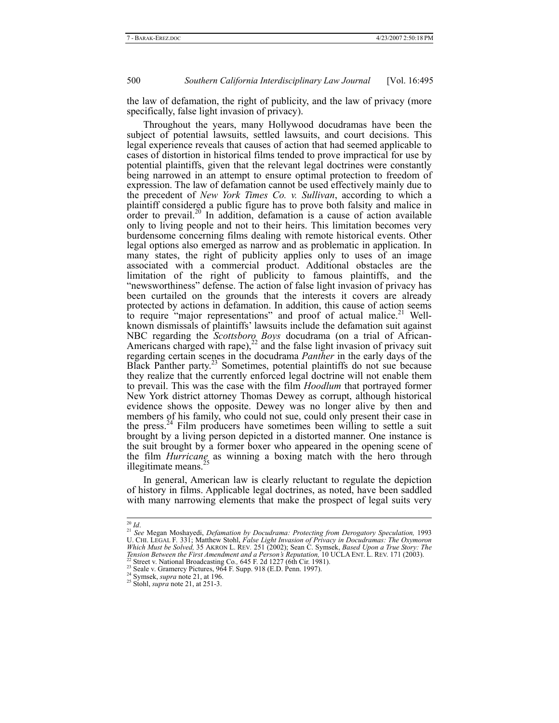the law of defamation, the right of publicity, and the law of privacy (more specifically, false light invasion of privacy).

Throughout the years, many Hollywood docudramas have been the subject of potential lawsuits, settled lawsuits, and court decisions. This legal experience reveals that causes of action that had seemed applicable to cases of distortion in historical films tended to prove impractical for use by potential plaintiffs, given that the relevant legal doctrines were constantly being narrowed in an attempt to ensure optimal protection to freedom of expression. The law of defamation cannot be used effectively mainly due to the precedent of *New York Times Co. v. Sullivan*, according to which a plaintiff considered a public figure has to prove both falsity and malice in order to prevail.<sup>20</sup> In addition, defamation is a cause of action available only to living people and not to their heirs. This limitation becomes very burdensome concerning films dealing with remote historical events. Other legal options also emerged as narrow and as problematic in application. In many states, the right of publicity applies only to uses of an image associated with a commercial product. Additional obstacles are the limitation of the right of publicity to famous plaintiffs, and the "newsworthiness" defense. The action of false light invasion of privacy has been curtailed on the grounds that the interests it covers are already protected by actions in defamation. In addition, this cause of action seems to require "major representations" and proof of actual malice.<sup>21</sup> Wellknown dismissals of plaintiffs' lawsuits include the defamation suit against NBC regarding the *Scottsboro Boys* docudrama (on a trial of African-Americans charged with rape), $^{22}$  and the false light invasion of privacy suit regarding certain scenes in the docudrama *Panther* in the early days of the Black Panther party.23 Sometimes, potential plaintiffs do not sue because they realize that the currently enforced legal doctrine will not enable them to prevail. This was the case with the film *Hoodlum* that portrayed former New York district attorney Thomas Dewey as corrupt, although historical evidence shows the opposite. Dewey was no longer alive by then and members of his family, who could not sue, could only present their case in the press.<sup>24</sup> Film producers have sometimes been willing to settle a suit brought by a living person depicted in a distorted manner. One instance is the suit brought by a former boxer who appeared in the opening scene of the film *Hurricane* as winning a boxing match with the hero through illegitimate means. $^{25}$ 

In general, American law is clearly reluctant to regulate the depiction of history in films. Applicable legal doctrines, as noted, have been saddled with many narrowing elements that make the prospect of legal suits very

<sup>&</sup>lt;sup>20</sup> Id.<br><sup>21</sup> See Megan Moshayedi, *Defamation by Docudrama: Protecting from Derogatory Speculation, 1993*<br>U. CHI. LEGAL F. 331; Matthew Stohl, *False Light Invasion of Privacy in Docudramas: The Oxymoron*<br>Which Must be So *Tension Between the First Amendment and a Person's Reputation,* 10 UCLA ENT. L. REV. 171 (2003).<br><sup>22</sup> Street v. National Broadcasting Co., 645 F. 2d 1227 (6th Cir. 1981).<br><sup>23</sup> Seale v. Gramercy Pictures, 964 F. Supp. 918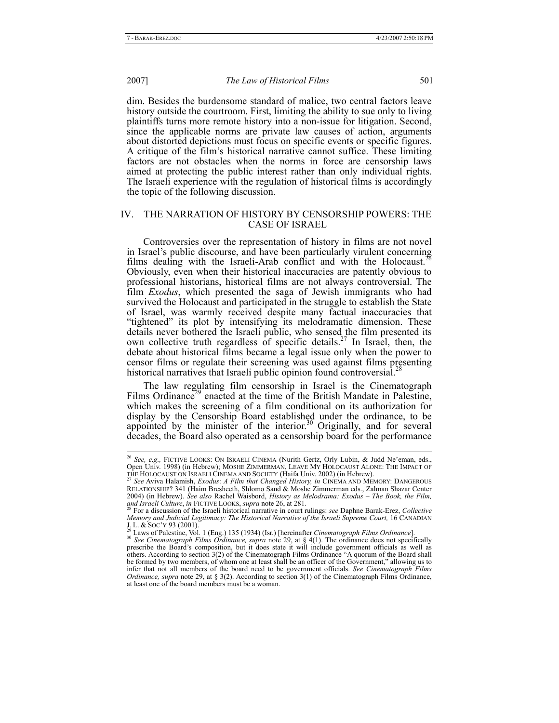dim. Besides the burdensome standard of malice, two central factors leave history outside the courtroom. First, limiting the ability to sue only to living plaintiffs turns more remote history into a non-issue for litigation. Second, since the applicable norms are private law causes of action, arguments about distorted depictions must focus on specific events or specific figures. A critique of the film's historical narrative cannot suffice. These limiting factors are not obstacles when the norms in force are censorship laws aimed at protecting the public interest rather than only individual rights. The Israeli experience with the regulation of historical films is accordingly the topic of the following discussion.

#### IV. THE NARRATION OF HISTORY BY CENSORSHIP POWERS: THE CASE OF ISRAEL

Controversies over the representation of history in films are not novel in Israel's public discourse, and have been particularly virulent concerning films dealing with the Israeli-Arab conflict and with the Holocaust.<sup>26</sup> Obviously, even when their historical inaccuracies are patently obvious to professional historians, historical films are not always controversial. The film *Exodus*, which presented the saga of Jewish immigrants who had survived the Holocaust and participated in the struggle to establish the State of Israel, was warmly received despite many factual inaccuracies that "tightened" its plot by intensifying its melodramatic dimension. These details never bothered the Israeli public, who sensed the film presented its own collective truth regardless of specific details.<sup>27</sup> In Israel, then, the debate about historical films became a legal issue only when the power to censor films or regulate their screening was used against films presenting historical narratives that Israeli public opinion found controversial.<sup>2</sup>

The law regulating film censorship in Israel is the Cinematograph Films Ordinance<sup>29</sup> enacted at the time of the British Mandate in Palestine, which makes the screening of a film conditional on its authorization for display by the Censorship Board established under the ordinance, to be appointed by the minister of the interior.<sup>30</sup> Originally, and for several decades, the Board also operated as a censorship board for the performance

 <sup>26</sup> *See, e.g.,* FICTIVE LOOKS: ON ISRAELI CINEMA (Nurith Gertz, Orly Lubin, & Judd Ne'eman, eds., Open Univ. 1998) (in Hebrew); MOSHE ZIMMERMAN, LEAVE MY HOLOCAUST ALONE: THE IMPACT OF<br>THE HOLOCAUST ON ISRAELI CINEMA AND SOCIETY (Haifa Univ. 2002) (in Hebrew).<br><sup>27</sup> *See* Aviva Halamish, *Exodus: A Film that Changed His* 

RELATIONSHIP? 341 (Haim Bresheeth, Shlomo Sand & Moshe Zimmerman eds., Zalman Shazar Center 2004) (in Hebrew). *See also* Rachel Waisbord, *History as Melodrama: Exodus – The Book, the Film,* 

For a discussion of the Israeli historical narrative in court rulings: *see* Daphne Barak-Erez, *Collective Memory and Judicial Legitimacy: The Historical Narrative of the Israeli Supreme Court,* 16 CANADIAN

J. L. & Soc'y 93 (2001).<br><sup>29</sup> Laws of Palestine, Vol. 1 (Eng.) 135 (1934) (Isr.) [hereinafter *Cinematograph Films Ordinance*].<br><sup>30</sup> *See Cinematograph Films Ordinance, supra* note 29, at § 4(1). The ordinance does not sp others. According to section 3(2) of the Cinematograph Films Ordinance "A quorum of the Board shall be formed by two members, of whom one at least shall be an officer of the Government," allowing us to infer that not all members of the board need to be government officials. *See Cinematograph Films Ordinance, supra* note 29, at § 3(2). According to section 3(1) of the Cinematograph Films Ordinance, at least one of the board members must be a woman.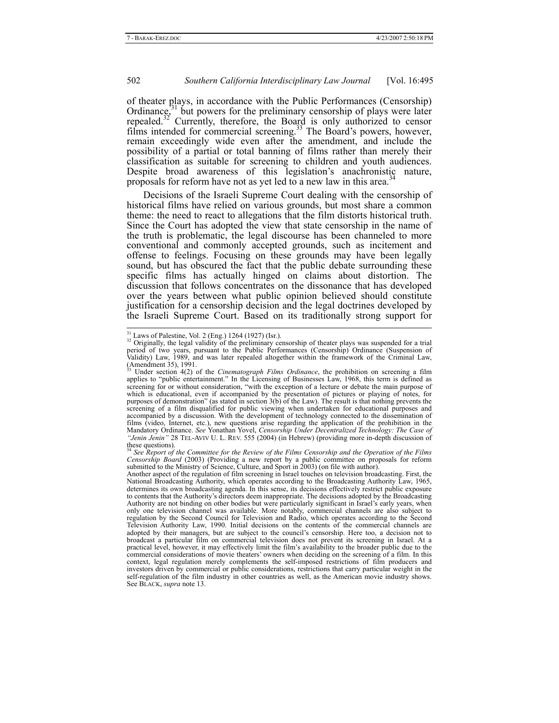of theater plays, in accordance with the Public Performances (Censorship)<br>Ordinances<sup>31</sup> but powers for the preliminary censorship of plays were later Ordinance, $31$  but powers for the preliminary censorship of plays were later repealed.<sup>32</sup> Currently, therefore, the Board is only authorized to censor films intended for commercial screening.<sup>33</sup> The Board's powers, however, remain exceedingly wide even after the amendment, and include the possibility of a partial or total banning of films rather than merely their classification as suitable for screening to children and youth audiences. Despite broad awareness of this legislation's anachronistic nature, proposals for reform have not as yet led to a new law in this area.<sup>3</sup>

Decisions of the Israeli Supreme Court dealing with the censorship of historical films have relied on various grounds, but most share a common theme: the need to react to allegations that the film distorts historical truth. Since the Court has adopted the view that state censorship in the name of the truth is problematic, the legal discourse has been channeled to more conventional and commonly accepted grounds, such as incitement and offense to feelings. Focusing on these grounds may have been legally sound, but has obscured the fact that the public debate surrounding these specific films has actually hinged on claims about distortion. The discussion that follows concentrates on the dissonance that has developed over the years between what public opinion believed should constitute justification for a censorship decision and the legal doctrines developed by the Israeli Supreme Court. Based on its traditionally strong support for

<sup>&</sup>lt;sup>31</sup> Laws of Palestine, Vol. 2 (Eng.) 1264 (1927) (Isr.).<br><sup>32</sup> Originally, the legal validity of the preliminary censorship of theater plays was suspended for a trial period of two years, pursuant to the Public Performanc Validity) Law, 1989, and was later repealed altogether within the framework of the Criminal Law, (Amendment 35), 1991.

<sup>33</sup> Under section 4(2) of the *Cinematograph Films Ordinance*, the prohibition on screening a film applies to "public entertainment." In the Licensing of Businesses Law, 1968, this term is defined as screening for or without consideration, "with the exception of a lecture or debate the main purpose of which is educational, even if accompanied by the presentation of pictures or playing of notes, for purposes of demonstration" (as stated in section 3(b) of the Law). The result is that nothing prevents the screening of a film disqualified for public viewing when undertaken for educational purposes and accompanied by a discussion. With the development of technology connected to the dissemination of films (video, Internet, etc.), new questions arise regarding the application of the prohibition in the Mandatory Ordinance. *See* Yonathan Yovel, *Censorship Under Decentralized Technology: The Case of "Jenin Jenin"* 28 TEL-AVIV U. L. REV. 555 (2004) (in Hebrew) (providing more in-depth discussion of

these questions). <sup>34</sup> *See Report of the Committee for the Review of the Films Censorship and the Operation of the Films Censorship Board* (2003) (Providing a new report by a public committee on proposals for reform submitted to the Ministry of Science, Culture, and Sport in 2003) (on file with author).

Another aspect of the regulation of film screening in Israel touches on television broadcasting. First, the National Broadcasting Authority, which operates according to the Broadcasting Authority Law, 1965, determines its own broadcasting agenda. In this sense, its decisions effectively restrict public exposure to contents that the Authority's directors deem inappropriate. The decisions adopted by the Broadcasting Authority are not binding on other bodies but were particularly significant in Israel's early years, when only one television channel was available. More notably, commercial channels are also subject to regulation by the Second Council for Television and Radio, which operates according to the Second Television Authority Law, 1990. Initial decisions on the contents of the commercial channels are adopted by their managers, but are subject to the council's censorship. Here too, a decision not to broadcast a particular film on commercial television does not prevent its screening in Israel. At a practical level, however, it may effectively limit the film's availability to the broader public due to the commercial considerations of movie theaters' owners when deciding on the screening of a film. In this context, legal regulation merely complements the self-imposed restrictions of film producers and investors driven by commercial or public considerations, restrictions that carry particular weight in the self-regulation of the film industry in other countries as well, as the American movie industry shows. See BLACK, *supra* note 13.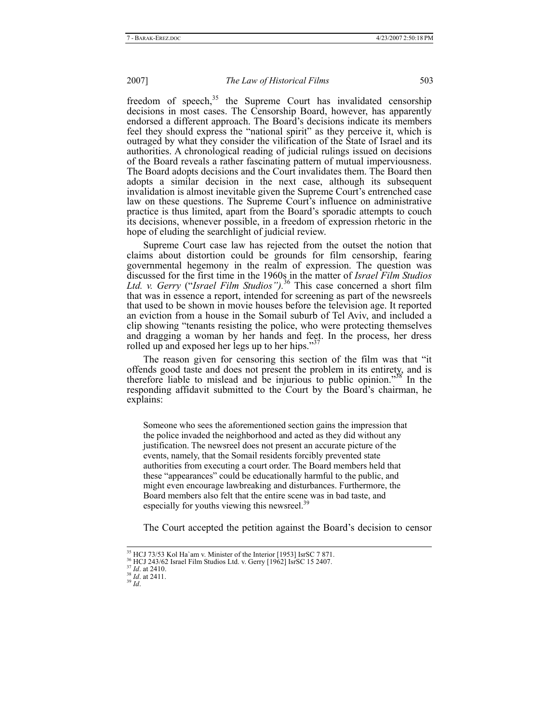freedom of speech, $35$  the Supreme Court has invalidated censorship decisions in most cases. The Censorship Board, however, has apparently endorsed a different approach. The Board's decisions indicate its members feel they should express the "national spirit" as they perceive it, which is outraged by what they consider the vilification of the State of Israel and its authorities. A chronological reading of judicial rulings issued on decisions of the Board reveals a rather fascinating pattern of mutual imperviousness. The Board adopts decisions and the Court invalidates them. The Board then adopts a similar decision in the next case, although its subsequent invalidation is almost inevitable given the Supreme Court's entrenched case law on these questions. The Supreme Court's influence on administrative practice is thus limited, apart from the Board's sporadic attempts to couch its decisions, whenever possible, in a freedom of expression rhetoric in the hope of eluding the searchlight of judicial review.

Supreme Court case law has rejected from the outset the notion that claims about distortion could be grounds for film censorship, fearing governmental hegemony in the realm of expression. The question was discussed for the first time in the 1960s in the matter of *Israel Film Studios Ltd. v. Gerry* ("*Israel Film Studios").*<sup>36</sup> This case concerned a short film that was in essence a report, intended for screening as part of the newsreels that used to be shown in movie houses before the television age. It reported an eviction from a house in the Somail suburb of Tel Aviv, and included a clip showing "tenants resisting the police, who were protecting themselves and dragging a woman by her hands and feet. In the process, her dress rolled up and exposed her legs up to her hips."<sup>3</sup>

The reason given for censoring this section of the film was that "it offends good taste and does not present the problem in its entirety, and is therefore liable to mislead and be injurious to public opinion."38 In the responding affidavit submitted to the Court by the Board's chairman, he explains:

Someone who sees the aforementioned section gains the impression that the police invaded the neighborhood and acted as they did without any justification. The newsreel does not present an accurate picture of the events, namely, that the Somail residents forcibly prevented state authorities from executing a court order. The Board members held that these "appearances" could be educationally harmful to the public, and might even encourage lawbreaking and disturbances. Furthermore, the Board members also felt that the entire scene was in bad taste, and especially for youths viewing this newsreel.<sup>39</sup>

The Court accepted the petition against the Board's decision to censor

<sup>&</sup>lt;sup>35</sup> HCJ 73/53 Kol Ha`am v. Minister of the Interior [1953] IsrSC 7 871.<br><sup>36</sup> HCJ 243/62 Israel Film Studios Ltd. v. Gerry [1962] IsrSC 15 2407.<br><sup>38</sup> *Id.* at 2411. 39 *Id*.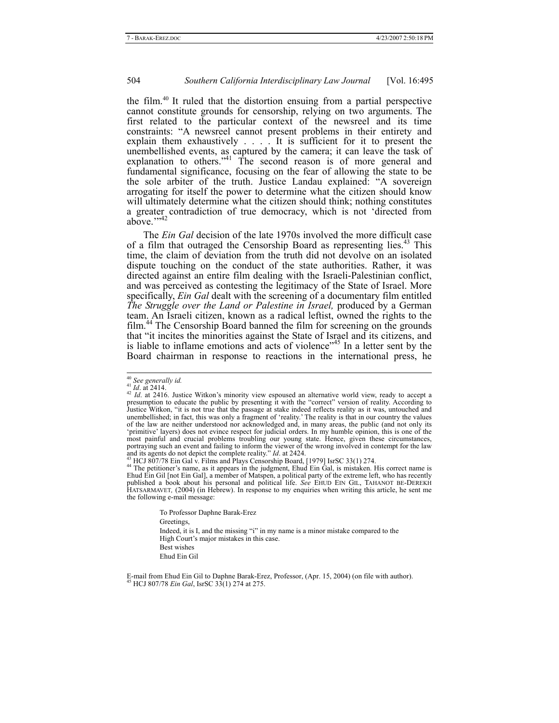the film.40 It ruled that the distortion ensuing from a partial perspective cannot constitute grounds for censorship, relying on two arguments. The first related to the particular context of the newsreel and its time constraints: "A newsreel cannot present problems in their entirety and explain them exhaustively . . . . It is sufficient for it to present the unembellished events, as captured by the camera; it can leave the task of explanation to others."<sup>41</sup> The second reason is of more general and fundamental significance, focusing on the fear of allowing the state to be the sole arbiter of the truth. Justice Landau explained: "A sovereign arrogating for itself the power to determine what the citizen should know will ultimately determine what the citizen should think; nothing constitutes a greater contradiction of true democracy, which is not 'directed from above.">42

The *Ein Gal* decision of the late 1970s involved the more difficult case of a film that outraged the Censorship Board as representing lies.<sup>43</sup> This time, the claim of deviation from the truth did not devolve on an isolated dispute touching on the conduct of the state authorities. Rather, it was directed against an entire film dealing with the Israeli-Palestinian conflict, and was perceived as contesting the legitimacy of the State of Israel. More specifically, *Ein Gal* dealt with the screening of a documentary film entitled *The Struggle over the Land or Palestine in Israel,* produced by a German team. An Israeli citizen, known as a radical leftist, owned the rights to the film.<sup>44</sup> The Censorship Board banned the film for screening on the grounds that "it incites the minorities against the State of Israel and its citizens, and is liable to inflame emotions and acts of violence<sup>145</sup> In a letter sent by the Board chairman in response to reactions in the international press, he

To Professor Daphne Barak-Erez Greetings, Indeed, it is I, and the missing "i" in my name is a minor mistake compared to the High Court's major mistakes in this case. Best wishes Ehud Ein Gil

<sup>&</sup>lt;sup>40</sup> See generally id.<br><sup>41</sup> Id. at 2414.<br><sup>42</sup> Id. at 2416. Justice Witkon's minority view espoused an alternative world view, ready to accept a<br>presumption to educate the public by presenting it with the "correct" version Justice Witkon, "it is not true that the passage at stake indeed reflects reality as it was, untouched and unembellished; in fact, this was only a fragment of 'reality.' The reality is that in our country the values of the law are neither understood nor acknowledged and, in many areas, the public (and not only its 'primitive' layers) does not evince respect for judicial orders. In my humble opinion, this is one of the most painful and crucial problems troubling our young state. Hence, given these circumstances, portraying such an event and failing to inform the viewer of the wrong involved in contempt for the law product and its agents do not depict the complete reality.<sup>77</sup> Id. at 2424.<br><sup>43</sup> HCJ 807/78 Ein Gal v. Films and Plays Censorship Board, [1979] IsrSC 33(1) 274.<br><sup>44</sup> The petitioner's name, as it appears in the judgment, E

Ehud Ein Gil [not Ein Gal], a member of Matspen, a political party of the extreme left, who has recently published a book about his personal and political life. *See* EHUD EIN GIL, TAHANOT BE-DEREKH HATSARMAVET*,* (2004) (in Hebrew). In response to my enquiries when writing this article, he sent me the following e-mail message:

E-mail from Ehud Ein Gil to Daphne Barak-Erez, Professor, (Apr. 15, 2004) (on file with author). 45 HCJ 807/78 *Ein Gal*, IsrSC 33(1) 274 at 275.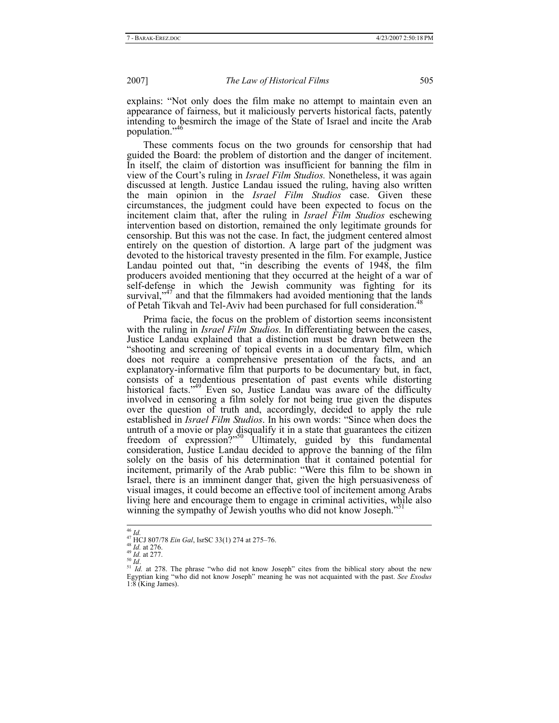explains: "Not only does the film make no attempt to maintain even an appearance of fairness, but it maliciously perverts historical facts, patently intending to besmirch the image of the State of Israel and incite the Arab population."46

These comments focus on the two grounds for censorship that had guided the Board: the problem of distortion and the danger of incitement. In itself, the claim of distortion was insufficient for banning the film in view of the Court's ruling in *Israel Film Studios.* Nonetheless, it was again discussed at length. Justice Landau issued the ruling, having also written the main opinion in the *Israel Film Studios* case. Given these circumstances, the judgment could have been expected to focus on the incitement claim that, after the ruling in *Israel Film Studios* eschewing intervention based on distortion, remained the only legitimate grounds for censorship. But this was not the case. In fact, the judgment centered almost entirely on the question of distortion. A large part of the judgment was devoted to the historical travesty presented in the film. For example, Justice Landau pointed out that, "in describing the events of 1948, the film producers avoided mentioning that they occurred at the height of a war of self-defense in which the Jewish community was fighting for its survival, $1^{47}$  and that the filmmakers had avoided mentioning that the lands of Petah Tikvah and Tel-Aviv had been purchased for full consideration.<sup>48</sup>

Prima facie, the focus on the problem of distortion seems inconsistent with the ruling in *Israel Film Studios.* In differentiating between the cases, Justice Landau explained that a distinction must be drawn between the "shooting and screening of topical events in a documentary film, which does not require a comprehensive presentation of the facts, and an explanatory-informative film that purports to be documentary but, in fact, consists of a tendentious presentation of past events while distorting historical facts."<sup>49</sup> Even so, Justice Landau was aware of the difficulty involved in censoring a film solely for not being true given the disputes over the question of truth and, accordingly, decided to apply the rule established in *Israel Film Studios*. In his own words: "Since when does the untruth of a movie or play disqualify it in a state that guarantees the citizen freedom of expression?"<sup>50</sup> Ultimately, guided by this fundamental consideration, Justice Landau decided to approve the banning of the film solely on the basis of his determination that it contained potential for incitement, primarily of the Arab public: "Were this film to be shown in Israel, there is an imminent danger that, given the high persuasiveness of visual images, it could become an effective tool of incitement among Arabs living here and encourage them to engage in criminal activities, while also winning the sympathy of Jewish youths who did not know Joseph."<sup>51</sup>

<sup>&</sup>lt;sup>46</sup> *Id.*<br><sup>47</sup> HCJ 807/78 *Ein Gal*, IsrSC 33(1) 274 at 275–76.<br><sup>48</sup> *Id.* at 276.<br><sup>48</sup> *Id.* at 277.<br><sup>50</sup> *Id.*<br><sup>51</sup> *Id.* at 278. The phrase "who did not know Joseph" cites from the biblical story about the new Egyptian king "who did not know Joseph" meaning he was not acquainted with the past. *See Exodus* Egyptian king "who did not know Joseph" meaning he was not acquainted with the past. See Exodus 1:8 (King James).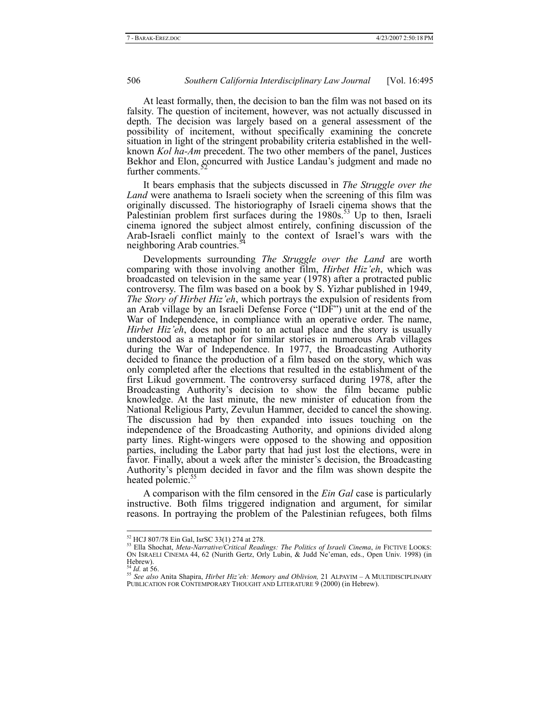At least formally, then, the decision to ban the film was not based on its falsity. The question of incitement, however, was not actually discussed in depth. The decision was largely based on a general assessment of the possibility of incitement, without specifically examining the concrete situation in light of the stringent probability criteria established in the wellknown *Kol ha-Am* precedent. The two other members of the panel, Justices Bekhor and Elon, concurred with Justice Landau's judgment and made no further comments.

It bears emphasis that the subjects discussed in *The Struggle over the Land* were anathema to Israeli society when the screening of this film was originally discussed. The historiography of Israeli cinema shows that the Palestinian problem first surfaces during the  $1980s$ <sup>53</sup> Up to then, Israeli cinema ignored the subject almost entirely, confining discussion of the Arab-Israeli conflict mainly to the context of Israel's wars with the neighboring Arab countries.<sup>54</sup>

Developments surrounding *The Struggle over the Land* are worth comparing with those involving another film, *Hirbet Hiz'eh*, which was broadcasted on television in the same year (1978) after a protracted public controversy. The film was based on a book by S. Yizhar published in 1949, *The Story of Hirbet Hiz'eh*, which portrays the expulsion of residents from an Arab village by an Israeli Defense Force ("IDF") unit at the end of the War of Independence, in compliance with an operative order. The name, *Hirbet Hiz'eh*, does not point to an actual place and the story is usually understood as a metaphor for similar stories in numerous Arab villages during the War of Independence. In 1977, the Broadcasting Authority decided to finance the production of a film based on the story, which was only completed after the elections that resulted in the establishment of the first Likud government. The controversy surfaced during 1978, after the Broadcasting Authority's decision to show the film became public knowledge. At the last minute, the new minister of education from the National Religious Party, Zevulun Hammer, decided to cancel the showing. The discussion had by then expanded into issues touching on the independence of the Broadcasting Authority, and opinions divided along party lines. Right-wingers were opposed to the showing and opposition parties, including the Labor party that had just lost the elections, were in favor. Finally, about a week after the minister's decision, the Broadcasting Authority's plenum decided in favor and the film was shown despite the heated polemic.<sup>5</sup>

A comparison with the film censored in the *Ein Gal* case is particularly instructive. Both films triggered indignation and argument, for similar reasons. In portraying the problem of the Palestinian refugees, both films

<sup>&</sup>lt;sup>52</sup> HCJ 807/78 Ein Gal, IsrSC 33(1) 274 at 278.<br><sup>53</sup> Ella Shochat, *Meta-Narrative/Critical Readings: The Politics of Israeli Cinema, in FICTIVE LOOKS:* ON ISRAELI CINEMA 44, 62 (Nurith Gertz, Orly Lubin, & Judd Ne'eman, eds., Open Univ. 1998) (in Hebrew).<br> $^{54}$  *Id.* at 56.

<sup>54</sup> *Id.* at 56. <sup>55</sup> *See also* Anita Shapira, *Hirbet Hiz'eh: Memory and Oblivion,* 21 ALPAYIM – <sup>A</sup> MULTIDISCIPLINARY PUBLICATION FOR CONTEMPORARY THOUGHT AND LITERATURE 9 (2000) (in Hebrew).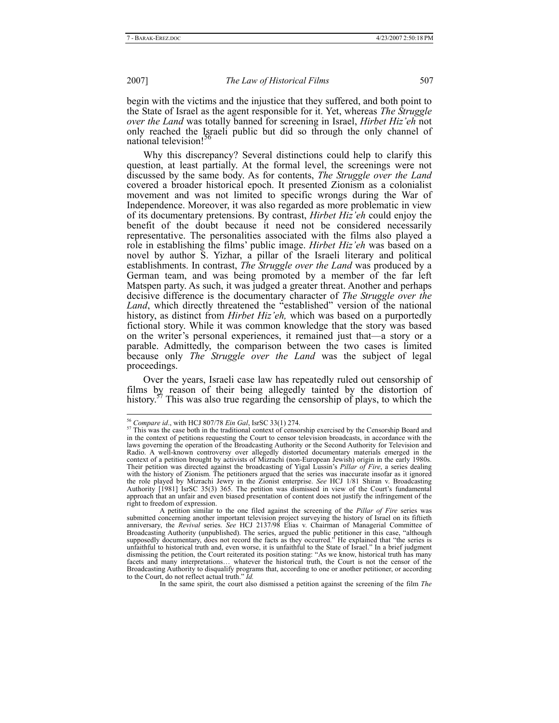begin with the victims and the injustice that they suffered, and both point to the State of Israel as the agent responsible for it. Yet, whereas *The Struggle over the Land* was totally banned for screening in Israel, *Hirbet Hiz'eh* not only reached the Israeli public but did so through the only channel of national television!

Why this discrepancy? Several distinctions could help to clarify this question, at least partially. At the formal level, the screenings were not discussed by the same body. As for contents, *The Struggle over the Land* covered a broader historical epoch. It presented Zionism as a colonialist movement and was not limited to specific wrongs during the War of Independence. Moreover, it was also regarded as more problematic in view of its documentary pretensions. By contrast, *Hirbet Hiz'eh* could enjoy the benefit of the doubt because it need not be considered necessarily representative. The personalities associated with the films also played a role in establishing the films' public image. *Hirbet Hiz'eh* was based on a novel by author S. Yizhar, a pillar of the Israeli literary and political establishments. In contrast, *The Struggle over the Land* was produced by a German team, and was being promoted by a member of the far left Matspen party. As such, it was judged a greater threat. Another and perhaps decisive difference is the documentary character of *The Struggle over the*  Land, which directly threatened the "established" version of the national history, as distinct from *Hirbet Hiz'eh,* which was based on a purportedly fictional story. While it was common knowledge that the story was based on the writer's personal experiences, it remained just that—a story or a parable. Admittedly, the comparison between the two cases is limited because only *The Struggle over the Land* was the subject of legal proceedings.

Over the years, Israeli case law has repeatedly ruled out censorship of films by reason of their being allegedly tainted by the distortion of history.<sup>57</sup> This was also true regarding the censorship of plays, to which the

In the same spirit, the court also dismissed a petition against the screening of the film *The* 

<sup>&</sup>lt;sup>56</sup> *Compare id.*, with HCJ 807/78 *Ein Gal*, IsrSC 33(1) 274. <sup>57</sup> This was the case both in the traditional context of censorship exercised by the Censorship Board and in the context of petitions requesting the Court to censor television broadcasts, in accordance with the laws governing the operation of the Broadcasting Authority or the Second Authority for Television and Radio. A well-known controversy over allegedly distorted documentary materials emerged in the context of a petition brought by activists of Mizrachi (non-European Jewish) origin in the early 1980s. Their petition was directed against the broadcasting of Yigal Lussin's *Pillar of Fire*, a series dealing with the history of Zionism. The petitioners argued that the series was inaccurate insofar as it ignored the role played by Mizrachi Jewry in the Zionist enterprise. *See* HCJ 1/81 Shiran v. Broadcasting Authority [1981] IsrSC 35(3) 365. The petition was dismissed in view of the Court's fundamental approach that an unfair and even biased presentation of content does not justify the infringement of the right to freedom of expression.

A petition similar to the one filed against the screening of the *Pillar of Fire* series was submitted concerning another important television project surveying the history of Israel on its fiftieth anniversary, the *Revival* series. *See* HCJ 2137/98 Elias v. Chairman of Managerial Committee of Broadcasting Authority (unpublished). The series, argued the public petitioner in this case, "although supposedly documentary, does not record the facts as they occurred." He explained that "the series is unfaithful to historical truth and, even worse, it is unfaithful to the State of Israel." In a brief judgment dismissing the petition, the Court reiterated its position stating: "As we know, historical truth has many facets and many interpretations… whatever the historical truth, the Court is not the censor of the Broadcasting Authority to disqualify programs that, according to one or another petitioner, or according to the Court, do not reflect actual truth." *Id.*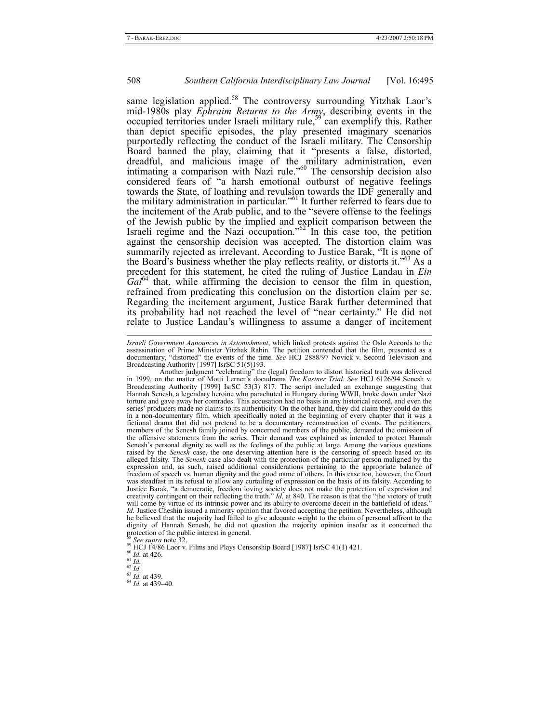same legislation applied.<sup>58</sup> The controversy surrounding Yitzhak Laor's mid-1980s play *Ephraim Returns to the Army*, describing events in the occupied territories under Israeli military rule,<sup>59</sup> can exemplify this. Rather than depict specific episodes, the play presented imaginary scenarios purportedly reflecting the conduct of the Israeli military. The Censorship Board banned the play, claiming that it "presents a false, distorted, dreadful, and malicious image of the military administration, even intimating a comparison with Nazi rule."<sup>60</sup> The censorship decision also considered fears of "a harsh emotional outburst of negative feelings towards the State, of loathing and revulsion towards the IDF generally and the military administration in particular."<sup>61</sup> It further referred to fears due to the incitement of the Arab public, and to the "severe offense to the feelings of the Jewish public by the implied and explicit comparison between the Israeli regime and the Nazi occupation." $62^{\circ}$  In this case too, the petition against the censorship decision was accepted. The distortion claim was summarily rejected as irrelevant. According to Justice Barak, "It is none of the Board's business whether the play reflects reality, or distorts it."<sup>63</sup> As a precedent for this statement, he cited the ruling of Justice Landau in *Ein*   $Gal<sup>64</sup>$  that, while affirming the decision to censor the film in question, refrained from predicating this conclusion on the distortion claim per se. Regarding the incitement argument, Justice Barak further determined that its probability had not reached the level of "near certainty." He did not relate to Justice Landau's willingness to assume a danger of incitement

l

*Israeli Government Announces in Astonishment*, which linked protests against the Oslo Accords to the assassination of Prime Minister Yitzhak Rabin. The petition contended that the film, presented as a documentary, "distorted" the events of the time. See HCJ 2888/97 Novick v. Second Television and Broadcasting Authority [1997] IsrSC 51(5)193.<br>Another judgment "celebrating" the (legal) freedom to distort historical truth

in 1999, on the matter of Motti Lerner's docudrama *The Kastner Trial*. *See* HCJ 6126/94 Senesh v. Broadcasting Authority [1999] IsrSC 53(3) 817. The script included an exchange suggesting that Hannah Senesh, a legendary heroine who parachuted in Hungary during WWII, broke down under Nazi torture and gave away her comrades. This accusation had no basis in any historical record, and even the series' producers made no claims to its authenticity. On the other hand, they did claim they could do this in a non-documentary film, which specifically noted at the beginning of every chapter that it was a fictional drama that did not pretend to be a documentary reconstruction of events. The petitioners, members of the Senesh family joined by concerned members of the public, demanded the omission of the offensive statements from the series. Their demand was explained as intended to protect Hannah Senesh's personal dignity as well as the feelings of the public at large. Among the various questions raised by the *Senesh* case, the one deserving attention here is the censoring of speech based on its alleged falsity. The *Senesh* case also dealt with the protection of the particular person maligned by the expression and, as such, raised additional considerations pertaining to the appropriate balance of freedom of speech vs. human dignity and the good name of others. In this case too, however, the Court was steadfast in its refusal to allow any curtailing of expression on the basis of its falsity. According to Justice Barak, "a democratic, freedom loving society does not make the protection of expression and creativity contingent on their reflecting the truth." *Id.* at 840. The reason is that the "the victory of truth will come by virtue of its intrinsic power and its ability to overcome deceit in the battlefield of ideas." *Id.* Justice Cheshin issued a minority opinion that favored accepting the petition. Nevertheless, although he believed that the majority had failed to give adequate weight to the claim of personal affront to the dignity of Hannah Senesh, he did not question the majority opinion insofar as it concerned the protection of the public interest in general.<br><sup>58</sup> See supra note 32.

<sup>&</sup>lt;sup>59</sup> HCJ 14/86 Laor v. Films and Plays Censorship Board [1987] IsrSC 41(1) 421.<br><sup>60</sup> *Id.* at 426.<br><sup>62</sup> *Id. at 439.*<br><sup>63</sup> *Id.* at 439–40.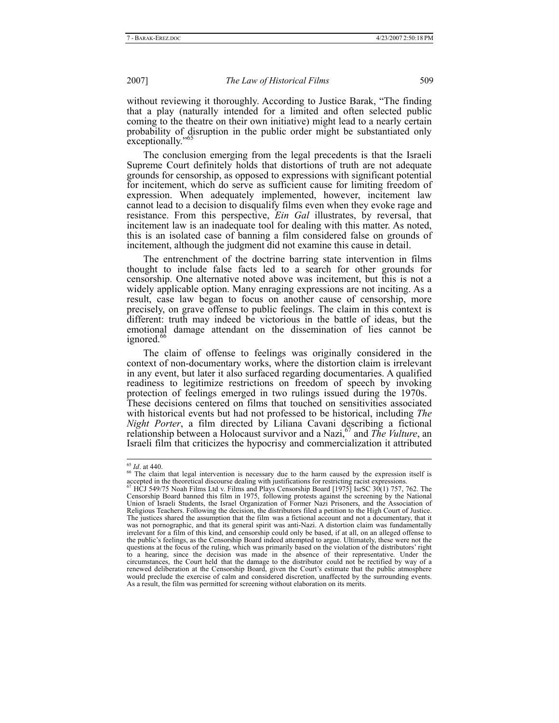without reviewing it thoroughly. According to Justice Barak, "The finding that a play (naturally intended for a limited and often selected public coming to the theatre on their own initiative) might lead to a nearly certain probability of disruption in the public order might be substantiated only exceptionally."

The conclusion emerging from the legal precedents is that the Israeli Supreme Court definitely holds that distortions of truth are not adequate grounds for censorship, as opposed to expressions with significant potential for incitement, which do serve as sufficient cause for limiting freedom of expression. When adequately implemented, however, incitement law cannot lead to a decision to disqualify films even when they evoke rage and resistance. From this perspective, *Ein Gal* illustrates, by reversal, that incitement law is an inadequate tool for dealing with this matter. As noted, this is an isolated case of banning a film considered false on grounds of incitement, although the judgment did not examine this cause in detail.

The entrenchment of the doctrine barring state intervention in films thought to include false facts led to a search for other grounds for censorship. One alternative noted above was incitement, but this is not a widely applicable option. Many enraging expressions are not inciting. As a result, case law began to focus on another cause of censorship, more precisely, on grave offense to public feelings. The claim in this context is different: truth may indeed be victorious in the battle of ideas, but the emotional damage attendant on the dissemination of lies cannot be ignored.<sup>66</sup>

The claim of offense to feelings was originally considered in the context of non-documentary works, where the distortion claim is irrelevant in any event, but later it also surfaced regarding documentaries. A qualified readiness to legitimize restrictions on freedom of speech by invoking protection of feelings emerged in two rulings issued during the 1970s. These decisions centered on films that touched on sensitivities associated with historical events but had not professed to be historical, including *The Night Porter*, a film directed by Liliana Cavani describing a fictional relationship between a Holocaust survivor and a Nazi,67 and *The Vulture*, an Israeli film that criticizes the hypocrisy and commercialization it attributed

<sup>&</sup>lt;sup>65</sup> *Id*. at 440.<br><sup>66</sup> The claim that legal intervention is necessary due to the harm caused by the expression itself is accepted in the theoretical discourse dealing with justifications for restricting racist expressions.<br><sup>67</sup> HCJ 549/75 Noah Films Ltd v. Films and Plays Censorship Board [1975] IsrSC 30(1) 757, 762. The

Censorship Board banned this film in 1975, following protests against the screening by the National Union of Israeli Students, the Israel Organization of Former Nazi Prisoners, and the Association of Religious Teachers. Following the decision, the distributors filed a petition to the High Court of Justice. The justices shared the assumption that the film was a fictional account and not a documentary, that it was not pornographic, and that its general spirit was anti-Nazi. A distortion claim was fundamentally irrelevant for a film of this kind, and censorship could only be based, if at all, on an alleged offense to the public's feelings, as the Censorship Board indeed attempted to argue. Ultimately, these were not the questions at the focus of the ruling, which was primarily based on the violation of the distributors' right to a hearing, since the decision was made in the absence of their representative. Under the circumstances, the Court held that the damage to the distributor could not be rectified by way of a renewed deliberation at the Censorship Board, given the Court's estimate that the public atmosphere would preclude the exercise of calm and considered discretion, unaffected by the surrounding events. As a result, the film was permitted for screening without elaboration on its merits.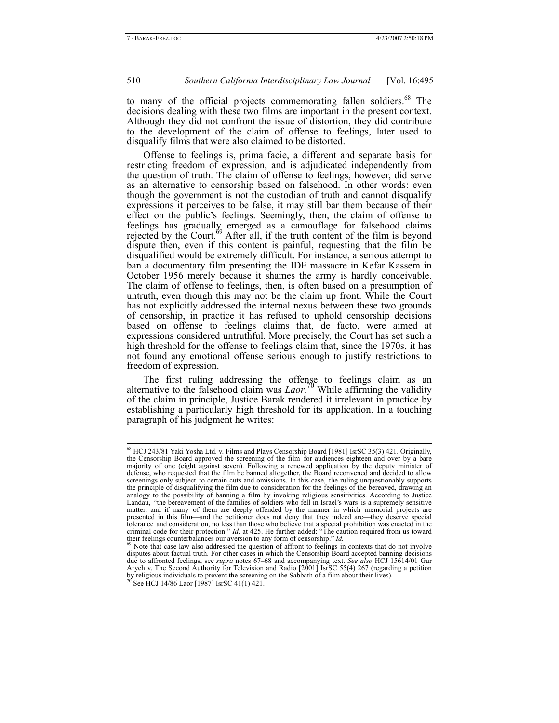to many of the official projects commemorating fallen soldiers.<sup>68</sup> The decisions dealing with these two films are important in the present context. Although they did not confront the issue of distortion, they did contribute to the development of the claim of offense to feelings, later used to disqualify films that were also claimed to be distorted.

Offense to feelings is, prima facie, a different and separate basis for restricting freedom of expression, and is adjudicated independently from the question of truth. The claim of offense to feelings, however, did serve as an alternative to censorship based on falsehood. In other words: even though the government is not the custodian of truth and cannot disqualify expressions it perceives to be false, it may still bar them because of their effect on the public's feelings. Seemingly, then, the claim of offense to feelings has gradually emerged as a camouflage for falsehood claims rejected by the Court.<sup>69</sup> After all, if the truth content of the film is beyond dispute then, even if this content is painful, requesting that the film be disqualified would be extremely difficult. For instance, a serious attempt to ban a documentary film presenting the IDF massacre in Kefar Kassem in October 1956 merely because it shames the army is hardly conceivable. The claim of offense to feelings, then, is often based on a presumption of untruth, even though this may not be the claim up front. While the Court has not explicitly addressed the internal nexus between these two grounds of censorship, in practice it has refused to uphold censorship decisions based on offense to feelings claims that, de facto, were aimed at expressions considered untruthful. More precisely, the Court has set such a high threshold for the offense to feelings claim that, since the 1970s, it has not found any emotional offense serious enough to justify restrictions to freedom of expression.

The first ruling addressing the offense to feelings claim as an alternative to the falsehood claim was *Laor*.<sup>70</sup> While affirming the validity of the claim in principle, Justice Barak rendered it irrelevant in practice by establishing a particularly high threshold for its application. In a touching paragraph of his judgment he writes:

<sup>&</sup>lt;sup>68</sup> HCJ 243/81 Yaki Yosha Ltd. v. Films and Plays Censorship Board [1981] IsrSC 35(3) 421. Originally, the Censorship Board approved the screening of the film for audiences eighteen and over by a bare majority of one (eight against seven). Following a renewed application by the deputy minister of defense, who requested that the film be banned altogether, the Board reconvened and decided to allow screenings only subject to certain cuts and omissions. In this case, the ruling unquestionably supports the principle of disqualifying the film due to consideration for the feelings of the bereaved, drawing an analogy to the possibility of banning a film by invoking religious sensitivities. According to Justice Landau, "the bereavement of the families of soldiers who fell in Israel's wars is a supremely sensitive matter, and if many of them are deeply offended by the manner in which memorial projects are presented in this film—and the petitioner does not deny that they indeed are—they deserve special tolerance and consideration, no less than those who believe that a special prohibition was enacted in the criminal code for their protection." *Id.* at 425. He further added: "The caution required from us toward their feelings counterbalances our aversion to any form of censorship." *Id.* 69 Note that case law also addressed the question of affront to feelings in contexts that do not involve

disputes about factual truth. For other cases in which the Censorship Board accepted banning decisions due to affronted feelings, see *supra* notes 67–68 and accompanying text. *See also* HCJ 15614/01 Gur Aryeh v. The Second Authority for Television and Radio [2001] IsrSC 55(4) 267 (regarding a petition by religious individuals to prevent the screening on the Sabbath of a film about their lives). <sup>70</sup> See HCJ 14/86 Laor [1987] IsrSC 41(1) 421.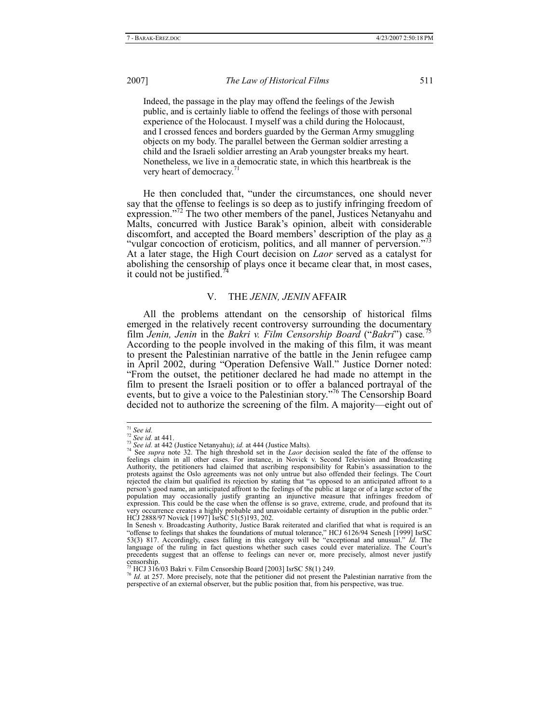Indeed, the passage in the play may offend the feelings of the Jewish public, and is certainly liable to offend the feelings of those with personal experience of the Holocaust. I myself was a child during the Holocaust, and I crossed fences and borders guarded by the German Army smuggling objects on my body. The parallel between the German soldier arresting a child and the Israeli soldier arresting an Arab youngster breaks my heart. Nonetheless, we live in a democratic state, in which this heartbreak is the very heart of democracy.<sup>71</sup>

He then concluded that, "under the circumstances, one should never say that the offense to feelings is so deep as to justify infringing freedom of expression."<sup>12</sup> The two other members of the panel, Justices Netanyahu and Malts, concurred with Justice Barak's opinion, albeit with considerable discomfort, and accepted the Board members' description of the play as a "vulgar concoction of eroticism, politics, and all manner of perversion."<sup>73</sup> At a later stage, the High Court decision on *Laor* served as a catalyst for abolishing the censorship of plays once it became clear that, in most cases, it could not be justified.

## V. THE *JENIN, JENIN* AFFAIR

All the problems attendant on the censorship of historical films emerged in the relatively recent controversy surrounding the documentary film *Jenin, Jenin* in the *Bakri v. Film Censorship Board* ("*Bakri*") case*.* 75 According to the people involved in the making of this film, it was meant to present the Palestinian narrative of the battle in the Jenin refugee camp in April 2002, during "Operation Defensive Wall." Justice Dorner noted: "From the outset, the petitioner declared he had made no attempt in the film to present the Israeli position or to offer a balanced portrayal of the events, but to give a voice to the Palestinian story."<sup>76</sup> The Censorship Board decided not to authorize the screening of the film. A majority—eight out of

<sup>&</sup>lt;sup>71</sup> See id.<br><sup>72</sup> See id. at 441.<br><sup>73</sup> See id. at 442 (Justice Netanyahu); id. at 444 (Justice Malts).<br><sup>74</sup> See *supra* note 32. The high threshold set in the *Laor* decision sealed the fate of the offense to<br><sup>74</sup> See *su* feelings claim in all other cases. For instance, in Novick v. Second Television and Broadcasting Authority, the petitioners had claimed that ascribing responsibility for Rabin's assassination to the protests against the Oslo agreements was not only untrue but also offended their feelings. The Court rejected the claim but qualified its rejection by stating that "as opposed to an anticipated affront to a person's good name, an anticipated affront to the feelings of the public at large or of a large sector of the population may occasionally justify granting an injunctive measure that infringes freedom of expression. This could be the case when the offense is so grave, extreme, crude, and profound that its very occurrence creates a highly probable and unavoidable certainty of disruption in the public order." HCJ 2888/97 Novick [1997] IsrSC 51(5)193, 202.

In Senesh v. Broadcasting Authority, Justice Barak reiterated and clarified that what is required is an "offense to feelings that shakes the foundations of mutual tolerance," HCJ 6126/94 Senesh [1999] IsrSC 53(3) 817. Accordingly, cases falling in this category will be "exceptional and unusual." *Id*. The language of the ruling in fact questions whether such cases could ever materialize. The Court's precedents suggest that an offense to feelings can never or, more precisely, almost never justify censorship.<br> $^{75}$  HCJ 316/03 Bakri v. Film Censorship Board [2003] IsrSC 58(1) 249.

<sup>&</sup>lt;sup>76</sup> Hd. at 257. More precisely, note that the petitioner did not present the Palestinian narrative from the perspective of an external observer, but the public position that, from his perspective, was true.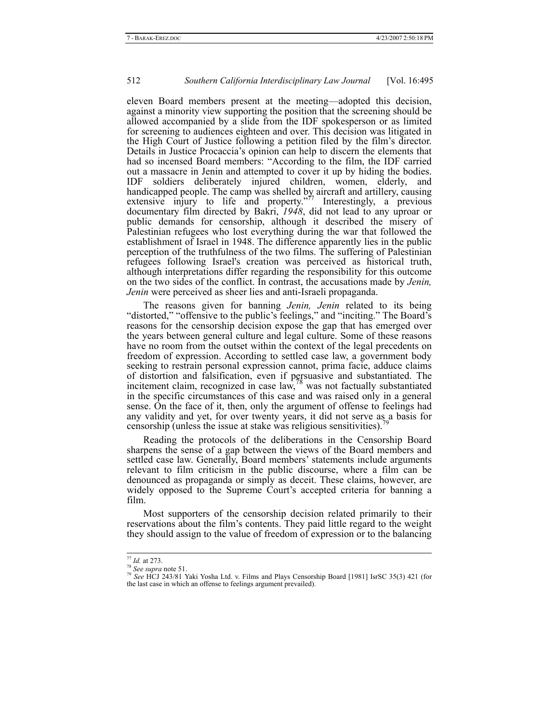eleven Board members present at the meeting—adopted this decision, against a minority view supporting the position that the screening should be allowed accompanied by a slide from the IDF spokesperson or as limited for screening to audiences eighteen and over. This decision was litigated in the High Court of Justice following a petition filed by the film's director. Details in Justice Procaccia's opinion can help to discern the elements that had so incensed Board members: "According to the film, the IDF carried out a massacre in Jenin and attempted to cover it up by hiding the bodies. IDF soldiers deliberately injured children, women, elderly, and handicapped people. The camp was shelled by aircraft and artillery, causing extensive injury to life and property." $\frac{1}{7}$  Interestingly, a previous documentary film directed by Bakri, *1948*, did not lead to any uproar or public demands for censorship, although it described the misery of Palestinian refugees who lost everything during the war that followed the establishment of Israel in 1948. The difference apparently lies in the public perception of the truthfulness of the two films. The suffering of Palestinian refugees following Israel's creation was perceived as historical truth, although interpretations differ regarding the responsibility for this outcome on the two sides of the conflict. In contrast, the accusations made by *Jenin, Jenin* were perceived as sheer lies and anti-Israeli propaganda.

The reasons given for banning *Jenin, Jenin* related to its being "distorted," "offensive to the public's feelings," and "inciting." The Board's reasons for the censorship decision expose the gap that has emerged over the years between general culture and legal culture. Some of these reasons have no room from the outset within the context of the legal precedents on freedom of expression. According to settled case law, a government body seeking to restrain personal expression cannot, prima facie, adduce claims of distortion and falsification, even if persuasive and substantiated. The incitement claim, recognized in case law,<sup>78</sup> was not factually substantiated in the specific circumstances of this case and was raised only in a general sense. On the face of it, then, only the argument of offense to feelings had any validity and yet, for over twenty years, it did not serve as a basis for censorship (unless the issue at stake was religious sensitivities).

Reading the protocols of the deliberations in the Censorship Board sharpens the sense of a gap between the views of the Board members and settled case law. Generally, Board members' statements include arguments relevant to film criticism in the public discourse, where a film can be denounced as propaganda or simply as deceit. These claims, however, are widely opposed to the Supreme Court's accepted criteria for banning a film.

Most supporters of the censorship decision related primarily to their reservations about the film's contents. They paid little regard to the weight they should assign to the value of freedom of expression or to the balancing

<sup>77</sup> *Id.* at 273. <sup>78</sup> *See supra* note 51. 79 *See* HCJ 243/81 Yaki Yosha Ltd. v. Films and Plays Censorship Board [1981] IsrSC 35(3) 421 (for the last case in which an offense to feelings argument prevailed).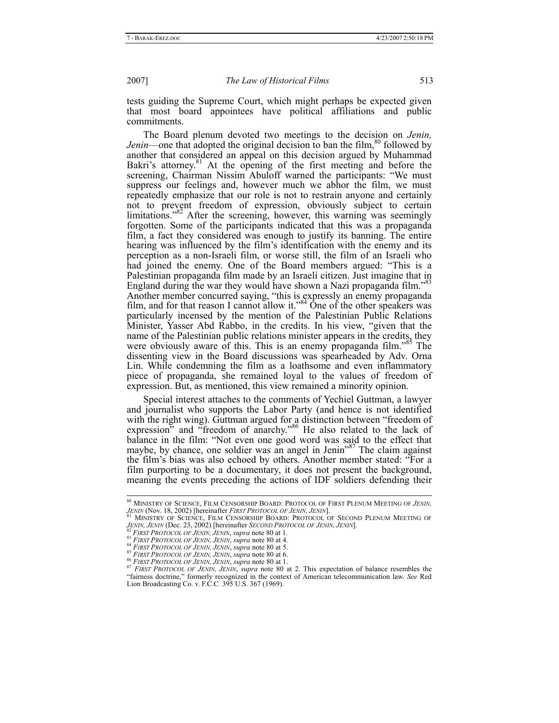tests guiding the Supreme Court, which might perhaps be expected given that most board appointees have political affiliations and public commitments.

The Board plenum devoted two meetings to the decision on *Jenin, Jenin*—one that adopted the original decision to ban the film,<sup>80</sup> followed by another that considered an appeal on this decision argued by Muhammad Bakri's attorney.<sup>81</sup> At the opening of the first meeting and before the screening, Chairman Nissim Abuloff warned the participants: "We must suppress our feelings and, however much we abhor the film, we must repeatedly emphasize that our role is not to restrain anyone and certainly not to prevent freedom of expression, obviously subject to certain limitations."<sup>82</sup> After the screening, however, this warning was seemingly forgotten. Some of the participants indicated that this was a propaganda film, a fact they considered was enough to justify its banning. The entire hearing was influenced by the film's identification with the enemy and its perception as a non-Israeli film, or worse still, the film of an Israeli who had joined the enemy. One of the Board members argued: "This is a Palestinian propaganda film made by an Israeli citizen. Just imagine that in England during the war they would have shown a Nazi propaganda film."<sup>83</sup> Another member concurred saying, "this is expressly an enemy propaganda film, and for that reason I cannot allow it."<sup>84</sup> One of the other speakers was particularly incensed by the mention of the Palestinian Public Relations Minister, Yasser Abd Rabbo, in the credits. In his view, "given that the name of the Palestinian public relations minister appears in the credits, they were obviously aware of this. This is an enemy propaganda film."<sup>85</sup> The dissenting view in the Board discussions was spearheaded by Adv. Orna Lin. While condemning the film as a loathsome and even inflammatory piece of propaganda, she remained loyal to the values of freedom of expression. But, as mentioned, this view remained a minority opinion.

Special interest attaches to the comments of Yechiel Guttman, a lawyer and journalist who supports the Labor Party (and hence is not identified with the right wing). Guttman argued for a distinction between "freedom of expression" and "freedom of anarchy."<sup>86</sup> He also related to the lack of balance in the film: "Not even one good word was said to the effect that maybe, by chance, one soldier was an angel in Jenin<sup> $37$ </sup> The claim against the film's bias was also echoed by others. Another member stated: "For a film purporting to be a documentary, it does not present the background, meaning the events preceding the actions of IDF soldiers defending their

 <sup>80</sup> MINISTRY OF SCIENCE, FILM CENSORSHIP BOARD: PROTOCOL OF FIRST PLENUM MEETING OF *JENIN,*

*JENIN* (Nov. 18, 2002) [hereinafter *FIRST PROTOCOL OF JENIN, JENIN*].<br><sup>81</sup> MINISTRY OF SCIENCE, FILM CENSORSHIP BOARD: PROTOCOL OF SECOND PLENUM MEETING OF *JENIN, JENIN* (Dec. 23, 2002) [hereinafter *SECOND PROTOCOL OF* 

<sup>&</sup>lt;sup>82</sup> FIRST PROTOCOL OF JENIN, JENIN, supra note 80 at 1.<br>
<sup>83</sup> FIRST PROTOCOL OF JENIN, JENIN, supra note 80 at 4.<br>
<sup>84</sup> FIRST PROTOCOL OF JENIN, JENIN, supra note 80 at 5.<br>
<sup>85</sup> FIRST PROTOCOL OF JENIN, JENIN, supra note "fairness doctrine," formerly recognized in the context of American telecommunication law. *See* Red Lion Broadcasting Co. v. F.C.C*.* 395 U.S. 367 (1969).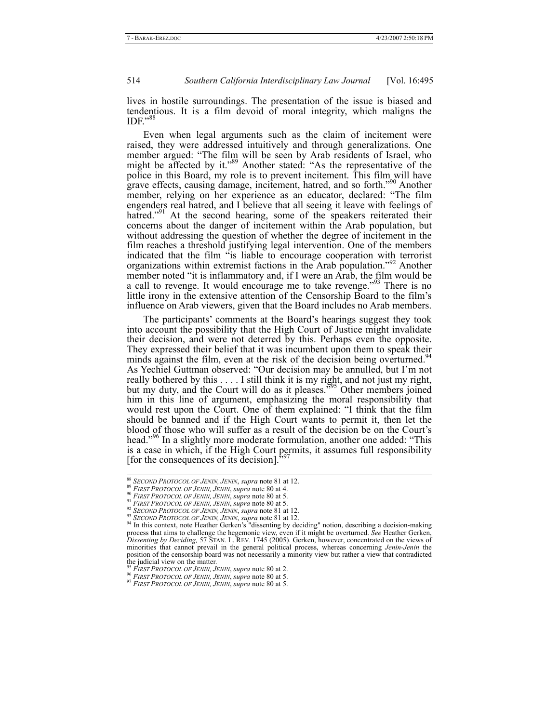lives in hostile surroundings. The presentation of the issue is biased and tendentious. It is a film devoid of moral integrity, which maligns the  $IDF.$ <sup>88</sup>

Even when legal arguments such as the claim of incitement were raised, they were addressed intuitively and through generalizations. One member argued: "The film will be seen by Arab residents of Israel, who might be affected by it."<sup>89</sup> Another stated: "As the representative of the police in this Board, my role is to prevent incitement. This film will have grave effects, causing damage, incitement, hatred, and so forth."90 Another member, relying on her experience as an educator, declared: "The film engenders real hatred, and I believe that all seeing it leave with feelings of hatred."<sup>91</sup> At the second hearing, some of the speakers reiterated their concerns about the danger of incitement within the Arab population, but without addressing the question of whether the degree of incitement in the film reaches a threshold justifying legal intervention. One of the members indicated that the film "is liable to encourage cooperation with terrorist organizations within extremist factions in the Arab population."92 Another member noted "it is inflammatory and, if I were an Arab, the film would be a call to revenge. It would encourage me to take revenge."<sup>93</sup> There is no little irony in the extensive attention of the Censorship Board to the film's influence on Arab viewers, given that the Board includes no Arab members.

The participants' comments at the Board's hearings suggest they took into account the possibility that the High Court of Justice might invalidate their decision, and were not deterred by this. Perhaps even the opposite. They expressed their belief that it was incumbent upon them to speak their minds against the film, even at the risk of the decision being overturned.<sup>94</sup> As Yechiel Guttman observed: "Our decision may be annulled, but I'm not really bothered by this . . . . I still think it is my right, and not just my right, but my duty, and the Court will do as it pleases.<sup>595</sup> Other members joined him in this line of argument, emphasizing the moral responsibility that would rest upon the Court. One of them explained: "I think that the film should be banned and if the High Court wants to permit it, then let the blood of those who will suffer as a result of the decision be on the Court's head."<sup>96</sup> In a slightly more moderate formulation, another one added: "This is a case in which, if the High Court permits, it assumes full responsibility [for the consequences of its decision].

<sup>&</sup>lt;sup>88</sup> SECOND PROTOCOL OF JENIN, JENIN, supra note 81 at 12.<br><sup>89</sup> FIRST PROTOCOL OF JENIN, JENIN, supra note 80 at 4.<br><sup>90</sup> FIRST PROTOCOL OF JENIN, JENIN, supra note 80 at 5.<br><sup>91</sup> FIRST PROTOCOL OF JENIN, JENIN, supra note process that aims to challenge the hegemonic view, even if it might be overturned. *See* Heather Gerken, *Dissenting by Deciding,* 57 STAN. L. REV*.* 1745 (2005). Gerken, however, concentrated on the views of minorities that cannot prevail in the general political process, whereas concerning *Jenin-Jenin* the position of the censorship board was not necessarily a minority view but rather a view that contradicted the judicial view on the matter.

<sup>&</sup>lt;sup>95</sup> FIRST PROTOCOL OF JENIN, JENIN, supra note 80 at 2.<br><sup>96</sup> FIRST PROTOCOL OF JENIN, JENIN, supra note 80 at 5.<br><sup>97</sup> FIRST PROTOCOL OF JENIN, JENIN, supra note 80 at 5.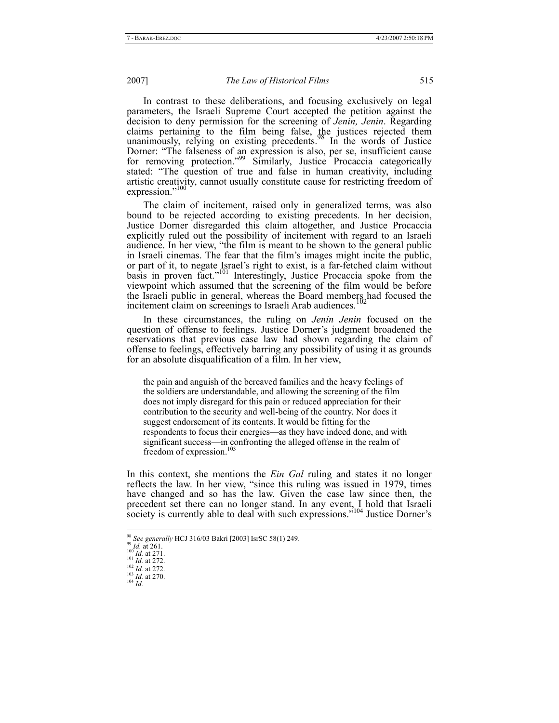In contrast to these deliberations, and focusing exclusively on legal parameters, the Israeli Supreme Court accepted the petition against the decision to deny permission for the screening of *Jenin, Jenin*. Regarding claims pertaining to the film being false, the justices rejected them unanimously, relying on existing precedents.<sup>98</sup> In the words of Justice Dorner: "The falseness of an expression is also, per se, insufficient cause for removing protection."99 Similarly, Justice Procaccia categorically stated: "The question of true and false in human creativity, including artistic creativity, cannot usually constitute cause for restricting freedom of expression."100

The claim of incitement, raised only in generalized terms, was also bound to be rejected according to existing precedents. In her decision, Justice Dorner disregarded this claim altogether, and Justice Procaccia explicitly ruled out the possibility of incitement with regard to an Israeli audience. In her view, "the film is meant to be shown to the general public in Israeli cinemas. The fear that the film's images might incite the public, or part of it, to negate Israel's right to exist, is a far-fetched claim without basis in proven fact."<sup>101</sup> Interestingly, Justice Procaccia spoke from the viewpoint which assumed that the screening of the film would be before the Israeli public in general, whereas the Board members had focused the incitement claim on screenings to Israeli Arab audiences.

In these circumstances, the ruling on *Jenin Jenin* focused on the question of offense to feelings. Justice Dorner's judgment broadened the reservations that previous case law had shown regarding the claim of offense to feelings, effectively barring any possibility of using it as grounds for an absolute disqualification of a film. In her view,

the pain and anguish of the bereaved families and the heavy feelings of the soldiers are understandable, and allowing the screening of the film does not imply disregard for this pain or reduced appreciation for their contribution to the security and well-being of the country. Nor does it suggest endorsement of its contents. It would be fitting for the respondents to focus their energies—as they have indeed done, and with significant success—in confronting the alleged offense in the realm of freedom of expression.<sup>103</sup>

In this context, she mentions the *Ein Gal* ruling and states it no longer reflects the law. In her view, "since this ruling was issued in 1979, times have changed and so has the law. Given the case law since then, the precedent set there can no longer stand. In any event, I hold that Israeli society is currently able to deal with such expressions."<sup>104</sup> Justice Dorner's

<sup>&</sup>lt;sup>98</sup> *See generally* **HCJ** 316/03 Bakri [2003] IsrSC 58(1) 249.<br><sup>99</sup> *Id.* at 261.<br><sup>100</sup> *Id.* at 271.<br><sup>101</sup> *Id.* at 272.<br><sup>102</sup> *Id.* at 272.<br><sup>103</sup> *Id.* at 270.<br><sup>104</sup> *Id*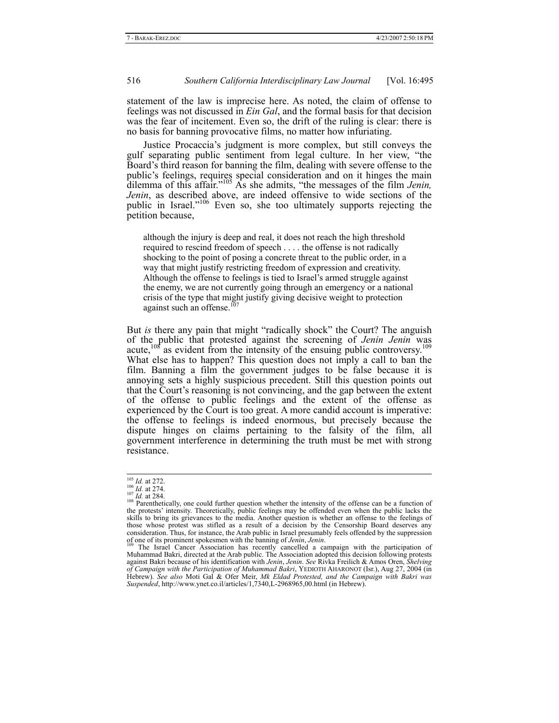statement of the law is imprecise here. As noted, the claim of offense to feelings was not discussed in *Ein Gal*, and the formal basis for that decision was the fear of incitement. Even so, the drift of the ruling is clear: there is no basis for banning provocative films, no matter how infuriating.

Justice Procaccia's judgment is more complex, but still conveys the gulf separating public sentiment from legal culture. In her view, "the Board's third reason for banning the film, dealing with severe offense to the public's feelings, requires special consideration and on it hinges the main dilemma of this affair."105 As she admits, "the messages of the film *Jenin, Jenin*, as described above, are indeed offensive to wide sections of the public in Israel."<sup>106</sup> Even so, she too ultimately supports rejecting the petition because,

although the injury is deep and real, it does not reach the high threshold required to rescind freedom of speech . . . . the offense is not radically shocking to the point of posing a concrete threat to the public order, in a way that might justify restricting freedom of expression and creativity. Although the offense to feelings is tied to Israel's armed struggle against the enemy, we are not currently going through an emergency or a national crisis of the type that might justify giving decisive weight to protection against such an offense.<sup>107</sup>

But *is* there any pain that might "radically shock" the Court? The anguish of the public that protested against the screening of *Jenin Jenin* was acute,<sup>108</sup> as evident from the intensity of the ensuing public controversy.<sup>109</sup> What else has to happen? This question does not imply a call to ban the film. Banning a film the government judges to be false because it is annoying sets a highly suspicious precedent. Still this question points out that the Court's reasoning is not convincing, and the gap between the extent of the offense to public feelings and the extent of the offense as experienced by the Court is too great. A more candid account is imperative: the offense to feelings is indeed enormous, but precisely because the dispute hinges on claims pertaining to the falsity of the film, all government interference in determining the truth must be met with strong resistance.

<sup>&</sup>lt;sup>105</sup> *Id.* at 272.<br><sup>106</sup> *Id.* at 274.<br><sup>107</sup> *Id.* at 284.<br><sup>108</sup> Parenthetically, one could further question whether the intensity of the offense can be a function of the protests' intensity. Theoretically, public feelings may be offended even when the public lacks the skills to bring its grievances to the media. Another question is whether an offense to the feelings of those whose protest was stifled as a result of a decision by the Censorship Board deserves any consideration. Thus, for instance, the Arab public in Israel presumably feels offended by the suppression<br>of one of its prominent spokesmen with the banning of *Jenin*, *Jenin*.<br><sup>109</sup> The Israel Cancer Association has rece

Muhammad Bakri, directed at the Arab public. The Association adopted this decision following protests<br>against Bakri because of his identification with *Jenin, Jenin. See* Rivka Freilich & Amos Oren, Shelving *of Campaign with the Participation of Muhammad Bakri*, YEDIOTH AHARONOT (Isr.), Aug 27, 2004 (in Hebrew). *See also* Moti Gal & Ofer Meir, *Mk Eldad Protested, and the Campaign with Bakri was Suspended*, http://www.ynet.co.il/articles/1,7340,L-2968965,00.html (in Hebrew).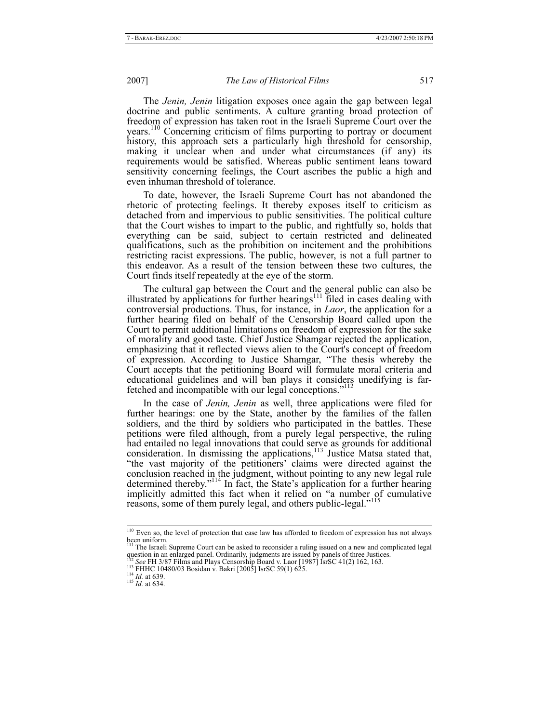The *Jenin, Jenin* litigation exposes once again the gap between legal doctrine and public sentiments. A culture granting broad protection of freedom of expression has taken root in the Israeli Supreme Court over the years.110 Concerning criticism of films purporting to portray or document history, this approach sets a particularly high threshold for censorship, making it unclear when and under what circumstances (if any) its requirements would be satisfied. Whereas public sentiment leans toward sensitivity concerning feelings, the Court ascribes the public a high and even inhuman threshold of tolerance.

To date, however, the Israeli Supreme Court has not abandoned the rhetoric of protecting feelings. It thereby exposes itself to criticism as detached from and impervious to public sensitivities. The political culture that the Court wishes to impart to the public, and rightfully so, holds that everything can be said, subject to certain restricted and delineated qualifications, such as the prohibition on incitement and the prohibitions restricting racist expressions. The public, however, is not a full partner to this endeavor. As a result of the tension between these two cultures, the Court finds itself repeatedly at the eye of the storm.

The cultural gap between the Court and the general public can also be illustrated by applications for further hearings<sup>111</sup> filed in cases dealing with controversial productions. Thus, for instance, in *Laor*, the application for a further hearing filed on behalf of the Censorship Board called upon the Court to permit additional limitations on freedom of expression for the sake of morality and good taste. Chief Justice Shamgar rejected the application, emphasizing that it reflected views alien to the Court's concept of freedom of expression. According to Justice Shamgar, "The thesis whereby the Court accepts that the petitioning Board will formulate moral criteria and educational guidelines and will ban plays it considers unedifying is farfetched and incompatible with our legal conceptions."<sup>112</sup>

In the case of *Jenin, Jenin* as well, three applications were filed for further hearings: one by the State, another by the families of the fallen soldiers, and the third by soldiers who participated in the battles. These petitions were filed although, from a purely legal perspective, the ruling had entailed no legal innovations that could serve as grounds for additional consideration. In dismissing the applications, $113$  Justice Matsa stated that, "the vast majority of the petitioners' claims were directed against the conclusion reached in the judgment, without pointing to any new legal rule determined thereby."<sup>114</sup> In fact, the State's application for a further hearing implicitly admitted this fact when it relied on "a number of cumulative reasons, some of them purely legal, and others public-legal."<sup>11</sup>

 <sup>110</sup> Even so, the level of protection that case law has afforded to freedom of expression has not always been uniform. 111 The Israeli Supreme Court can be asked to reconsider a ruling issued on a new and complicated legal

The Island Bohem Court Can to the dustries are issued by panels of three Justices.<br>
112 See FH 3/87 Films and Plays Censorship Board v. Laor [1987] IsrSC 41(2) 162, 163.<br>
113 FHHC 10480/03 Bosidan v. Bakri [2005] IsrSC 59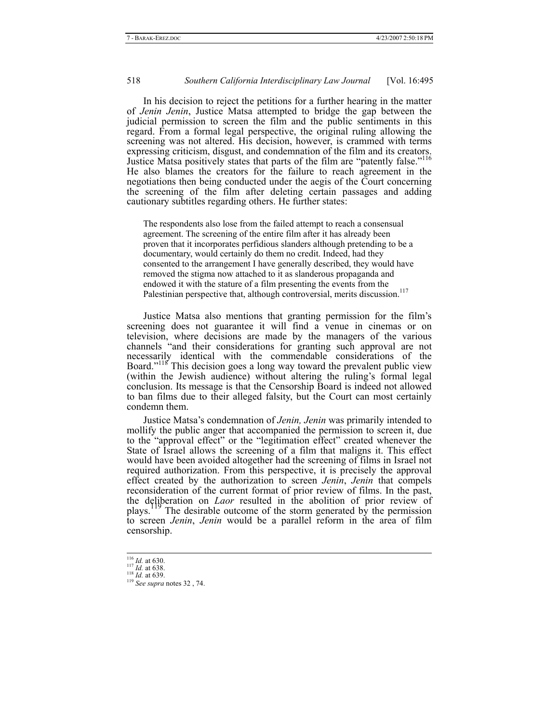In his decision to reject the petitions for a further hearing in the matter of *Jenin Jenin*, Justice Matsa attempted to bridge the gap between the judicial permission to screen the film and the public sentiments in this regard. From a formal legal perspective, the original ruling allowing the screening was not altered. His decision, however, is crammed with terms expressing criticism, disgust, and condemnation of the film and its creators. Justice Matsa positively states that parts of the film are "patently false."<sup>116</sup> He also blames the creators for the failure to reach agreement in the negotiations then being conducted under the aegis of the Court concerning the screening of the film after deleting certain passages and adding cautionary subtitles regarding others. He further states:

The respondents also lose from the failed attempt to reach a consensual agreement. The screening of the entire film after it has already been proven that it incorporates perfidious slanders although pretending to be a documentary, would certainly do them no credit. Indeed, had they consented to the arrangement I have generally described, they would have removed the stigma now attached to it as slanderous propaganda and endowed it with the stature of a film presenting the events from the Palestinian perspective that, although controversial, merits discussion.<sup>117</sup>

Justice Matsa also mentions that granting permission for the film's screening does not guarantee it will find a venue in cinemas or on television, where decisions are made by the managers of the various channels "and their considerations for granting such approval are not necessarily identical with the commendable considerations of the Board."118 This decision goes a long way toward the prevalent public view (within the Jewish audience) without altering the ruling's formal legal conclusion. Its message is that the Censorship Board is indeed not allowed to ban films due to their alleged falsity, but the Court can most certainly condemn them.

Justice Matsa's condemnation of *Jenin, Jenin* was primarily intended to mollify the public anger that accompanied the permission to screen it, due to the "approval effect" or the "legitimation effect" created whenever the State of Israel allows the screening of a film that maligns it. This effect would have been avoided altogether had the screening of films in Israel not required authorization. From this perspective, it is precisely the approval effect created by the authorization to screen *Jenin*, *Jenin* that compels reconsideration of the current format of prior review of films. In the past, the deliberation on *Laor* resulted in the abolition of prior review of plays.119 The desirable outcome of the storm generated by the permission to screen *Jenin*, *Jenin* would be a parallel reform in the area of film censorship.

<sup>116</sup> *Id.* at 630. <sup>117</sup> *Id.* at 638. <sup>118</sup> *Id.* at 639. <sup>119</sup> *See supra* notes 32 , 74.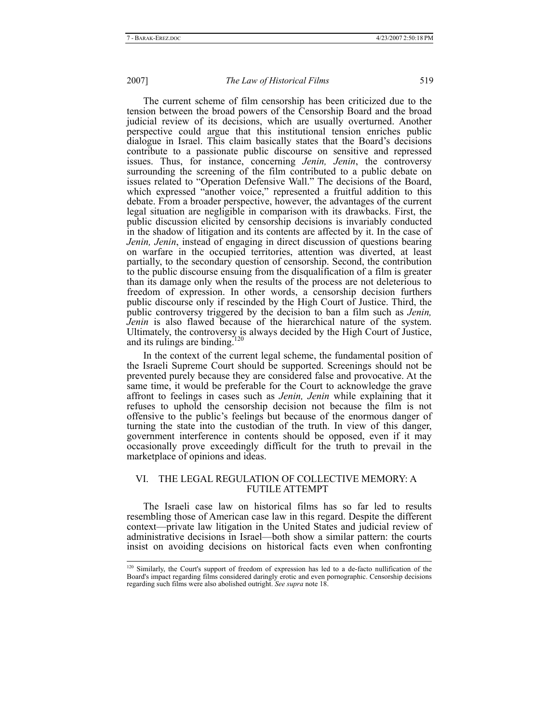The current scheme of film censorship has been criticized due to the tension between the broad powers of the Censorship Board and the broad judicial review of its decisions, which are usually overturned. Another perspective could argue that this institutional tension enriches public dialogue in Israel. This claim basically states that the Board's decisions contribute to a passionate public discourse on sensitive and repressed issues. Thus, for instance, concerning *Jenin, Jenin*, the controversy surrounding the screening of the film contributed to a public debate on issues related to "Operation Defensive Wall." The decisions of the Board, which expressed "another voice," represented a fruitful addition to this debate. From a broader perspective, however, the advantages of the current legal situation are negligible in comparison with its drawbacks. First, the public discussion elicited by censorship decisions is invariably conducted in the shadow of litigation and its contents are affected by it. In the case of *Jenin, Jenin*, instead of engaging in direct discussion of questions bearing on warfare in the occupied territories, attention was diverted, at least partially, to the secondary question of censorship. Second, the contribution to the public discourse ensuing from the disqualification of a film is greater than its damage only when the results of the process are not deleterious to freedom of expression. In other words, a censorship decision furthers public discourse only if rescinded by the High Court of Justice. Third, the public controversy triggered by the decision to ban a film such as *Jenin, Jenin* is also flawed because of the hierarchical nature of the system. Ultimately, the controversy is always decided by the High Court of Justice, and its rulings are binding. $120$ 

In the context of the current legal scheme, the fundamental position of the Israeli Supreme Court should be supported. Screenings should not be prevented purely because they are considered false and provocative. At the same time, it would be preferable for the Court to acknowledge the grave affront to feelings in cases such as *Jenin, Jenin* while explaining that it refuses to uphold the censorship decision not because the film is not offensive to the public's feelings but because of the enormous danger of turning the state into the custodian of the truth. In view of this danger, government interference in contents should be opposed, even if it may occasionally prove exceedingly difficult for the truth to prevail in the marketplace of opinions and ideas.

#### VI. THE LEGAL REGULATION OF COLLECTIVE MEMORY: A FUTILE ATTEMPT

The Israeli case law on historical films has so far led to results resembling those of American case law in this regard. Despite the different context—private law litigation in the United States and judicial review of administrative decisions in Israel—both show a similar pattern: the courts insist on avoiding decisions on historical facts even when confronting

<sup>&</sup>lt;sup>120</sup> Similarly, the Court's support of freedom of expression has led to a de-facto nullification of the Board's impact regarding films considered daringly erotic and even pornographic. Censorship decisions regarding such films were also abolished outright. *See supra* note 18.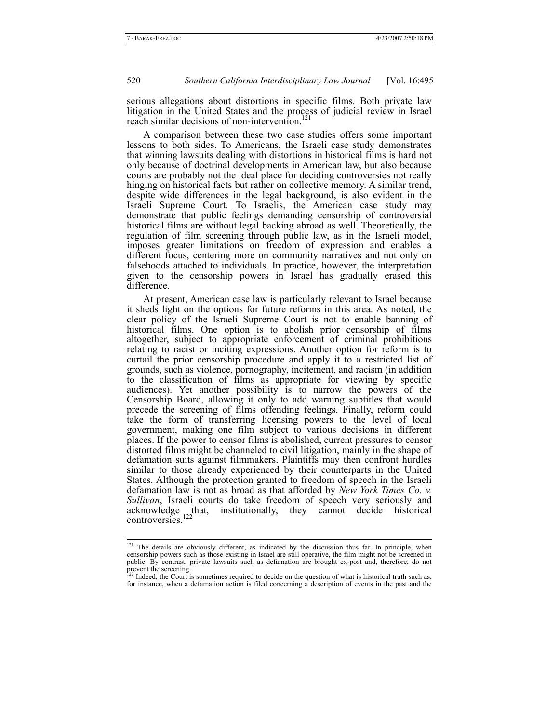serious allegations about distortions in specific films. Both private law litigation in the United States and the process of judicial review in Israel reach similar decisions of non-intervention.<sup>121</sup>

A comparison between these two case studies offers some important lessons to both sides. To Americans, the Israeli case study demonstrates that winning lawsuits dealing with distortions in historical films is hard not only because of doctrinal developments in American law, but also because courts are probably not the ideal place for deciding controversies not really hinging on historical facts but rather on collective memory. A similar trend, despite wide differences in the legal background, is also evident in the Israeli Supreme Court. To Israelis, the American case study may demonstrate that public feelings demanding censorship of controversial historical films are without legal backing abroad as well. Theoretically, the regulation of film screening through public law, as in the Israeli model, imposes greater limitations on freedom of expression and enables a different focus, centering more on community narratives and not only on falsehoods attached to individuals. In practice, however, the interpretation given to the censorship powers in Israel has gradually erased this difference.

At present, American case law is particularly relevant to Israel because it sheds light on the options for future reforms in this area. As noted, the clear policy of the Israeli Supreme Court is not to enable banning of historical films. One option is to abolish prior censorship of films altogether, subject to appropriate enforcement of criminal prohibitions relating to racist or inciting expressions. Another option for reform is to curtail the prior censorship procedure and apply it to a restricted list of grounds, such as violence, pornography, incitement, and racism (in addition to the classification of films as appropriate for viewing by specific audiences). Yet another possibility is to narrow the powers of the Censorship Board, allowing it only to add warning subtitles that would precede the screening of films offending feelings. Finally, reform could take the form of transferring licensing powers to the level of local government, making one film subject to various decisions in different places. If the power to censor films is abolished, current pressures to censor distorted films might be channeled to civil litigation, mainly in the shape of defamation suits against filmmakers. Plaintiffs may then confront hurdles similar to those already experienced by their counterparts in the United States. Although the protection granted to freedom of speech in the Israeli defamation law is not as broad as that afforded by *New York Times Co. v. Sullivan*, Israeli courts do take freedom of speech very seriously and acknowledge that, institutionally, they cannot decide historical controversies.<sup>122</sup>

<sup>&</sup>lt;sup>121</sup> The details are obviously different, as indicated by the discussion thus far. In principle, when censorship powers such as those existing in Israel are still operative, the film might not be screened in public. By contrast, private lawsuits such as defamation are brought ex-post and, therefore, do not prevent the screening.

Indeed, the Court is sometimes required to decide on the question of what is historical truth such as, for instance, when a defamation action is filed concerning a description of events in the past and the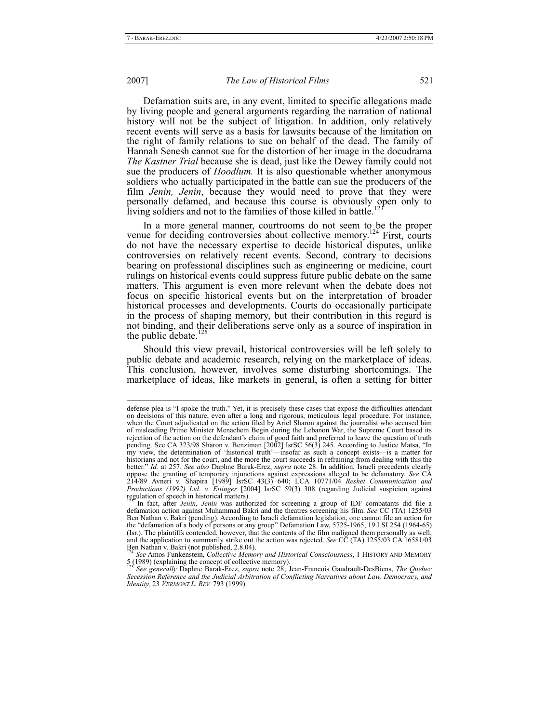Defamation suits are, in any event, limited to specific allegations made by living people and general arguments regarding the narration of national history will not be the subject of litigation. In addition, only relatively recent events will serve as a basis for lawsuits because of the limitation on the right of family relations to sue on behalf of the dead. The family of Hannah Senesh cannot sue for the distortion of her image in the docudrama *The Kastner Trial* because she is dead, just like the Dewey family could not sue the producers of *Hoodlum.* It is also questionable whether anonymous soldiers who actually participated in the battle can sue the producers of the film *Jenin, Jenin*, because they would need to prove that they were personally defamed, and because this course is obviously open only to living soldiers and not to the families of those killed in battle.<sup>1</sup>

In a more general manner, courtrooms do not seem to be the proper venue for deciding controversies about collective memory.<sup>124</sup> First, courts do not have the necessary expertise to decide historical disputes, unlike controversies on relatively recent events. Second, contrary to decisions bearing on professional disciplines such as engineering or medicine, court rulings on historical events could suppress future public debate on the same matters. This argument is even more relevant when the debate does not focus on specific historical events but on the interpretation of broader historical processes and developments. Courts do occasionally participate in the process of shaping memory, but their contribution in this regard is not binding, and their deliberations serve only as a source of inspiration in the public debate. $125$ 

Should this view prevail, historical controversies will be left solely to public debate and academic research, relying on the marketplace of ideas. This conclusion, however, involves some disturbing shortcomings. The marketplace of ideas, like markets in general, is often a setting for bitter

defense plea is "I spoke the truth." Yet, it is precisely these cases that expose the difficulties attendant on decisions of this nature, even after a long and rigorous, meticulous legal procedure. For instance, when the Court adjudicated on the action filed by Ariel Sharon against the journalist who accused him of misleading Prime Minister Menachem Begin during the Lebanon War, the Supreme Court based its rejection of the action on the defendant's claim of good faith and preferred to leave the question of truth pending. See CA 323/98 Sharon v. Benziman [2002] IsrSC 56(3) 245. According to Justice Matsa, "In my view, the determination of 'historical truth'—insofar as such a concept exists—is a matter for historians and not for the court, and the more the court succeeds in refraining from dealing with this the better." *Id.* at 257. *See also* Daphne Barak-Erez, *supra* note 28. In addition, Israeli precedents clearly oppose the granting of temporary injunctions against expressions alleged to be defamatory. *See* CA 214/89 Avneri v. Shapira [1989] IsrSC 43(3) 640; LCA 10771/04 *Reshet Communication and Productions (1992) Ltd. v. Ettinger* [2004] IsrSC 59(3) 308 (regarding Judicial suspicion against regulation of speech in historical matters).

<sup>123</sup> In fact, after *Jenin, Jenin* was authorized for screening a group of IDF combatants did file a defamation action against Muhammad Bakri and the theatres screening his film. *See* CC (TA) 1255/03 Ben Nathan v. Bakri (pending). According to Israeli defamation legislation, one cannot file an action for the "defamation of a body of persons or any group" Defamation Law, 5725-1965, 19 LSI 254 (1964-65) (Isr.). The plaintiffs contended, however, that the contents of the film maligned them personally as well, and the application to summarily strike out the action was rejected. *See* CC (TA) 1255/03 CA 16581/03 Ben Nathan v. Bakri (not published, 2.8.04).

<sup>124</sup> *See* Amos Funkenstein, *Collective Memory and Historical Consciousness*, 1 HISTORY AND MEMORY  $\frac{5}{125}$  (1989) (explaining the concept of collective memory).

<sup>125</sup> *See generally* Daphne Barak-Erez, *supra* note 28; Jean-Francois Gaudrault-DesBiens, *The Quebec Secession Reference and the Judicial Arbitration of Conflicting Narratives about Law, Democracy, and Identity,* 23 *VERMONT L. REV.* 793 (1999).